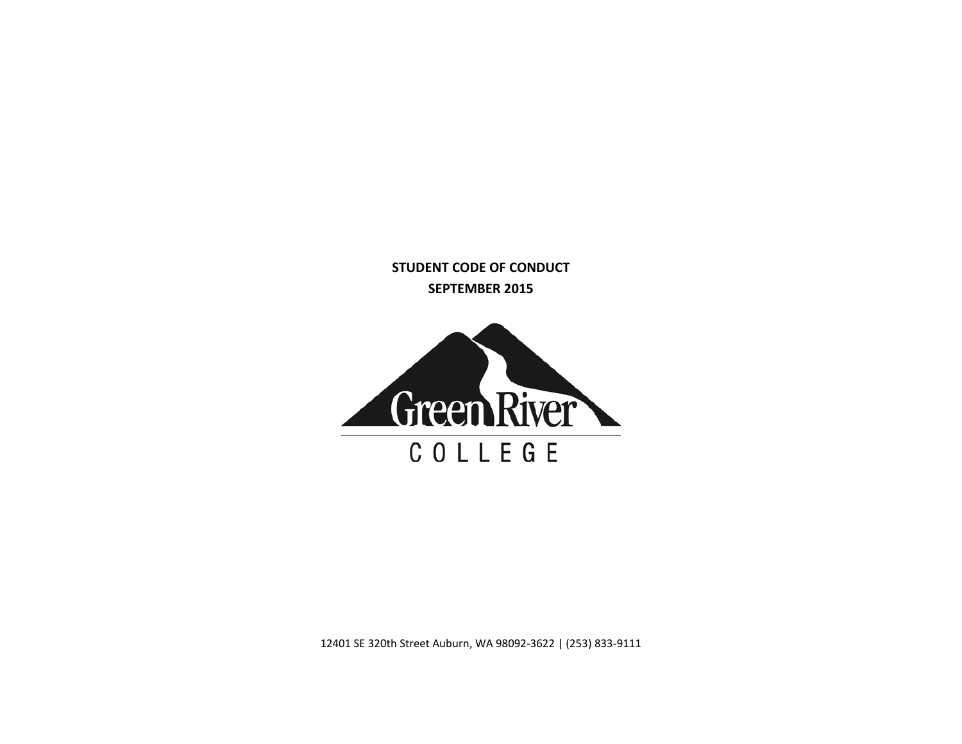**STUDENT CODE OF CONDUCT SEPTEMBER 2015**



12401 SE 320th Street Auburn, WA 98092-3622 | (253) 833-9111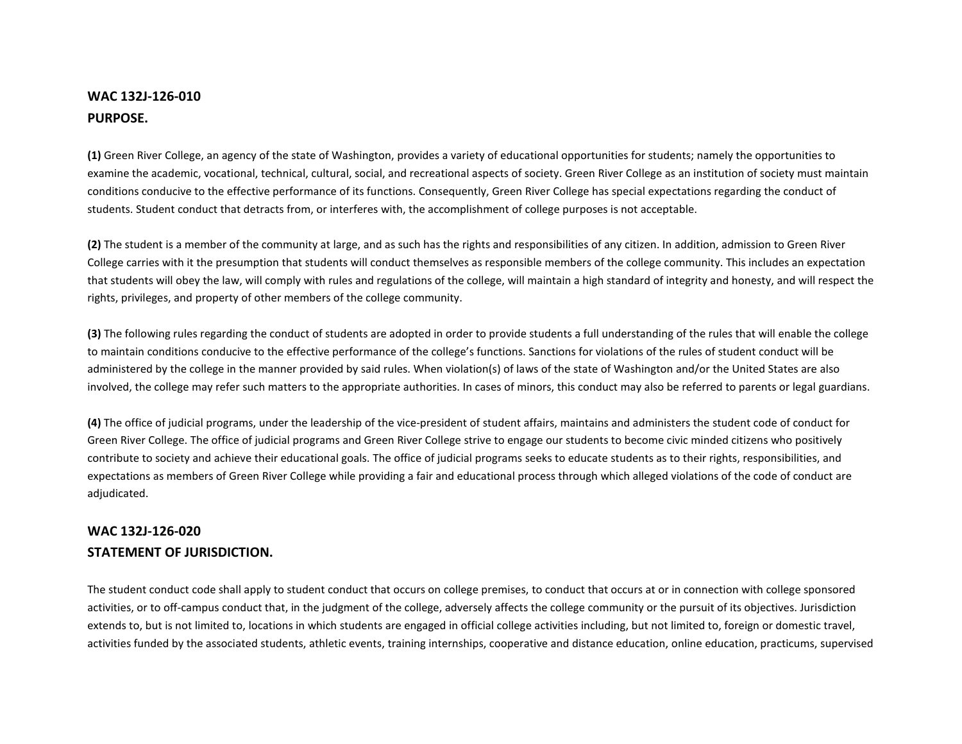## **WAC 132J-126-010 PURPOSE.**

**(1)** Green River College, an agency of the state of Washington, provides a variety of educational opportunities for students; namely the opportunities to examine the academic, vocational, technical, cultural, social, and recreational aspects of society. Green River College as an institution of society must maintain conditions conducive to the effective performance of its functions. Consequently, Green River College has special expectations regarding the conduct of students. Student conduct that detracts from, or interferes with, the accomplishment of college purposes is not acceptable.

**(2)** The student is a member of the community at large, and as such has the rights and responsibilities of any citizen. In addition, admission to Green River College carries with it the presumption that students will conduct themselves as responsible members of the college community. This includes an expectation that students will obey the law, will comply with rules and regulations of the college, will maintain a high standard of integrity and honesty, and will respect the rights, privileges, and property of other members of the college community.

**(3)** The following rules regarding the conduct of students are adopted in order to provide students a full understanding of the rules that will enable the college to maintain conditions conducive to the effective performance of the college's functions. Sanctions for violations of the rules of student conduct will be administered by the college in the manner provided by said rules. When violation(s) of laws of the state of Washington and/or the United States are also involved, the college may refer such matters to the appropriate authorities. In cases of minors, this conduct may also be referred to parents or legal guardians.

**(4)** The office of judicial programs, under the leadership of the vice-president of student affairs, maintains and administers the student code of conduct for Green River College. The office of judicial programs and Green River College strive to engage our students to become civic minded citizens who positively contribute to society and achieve their educational goals. The office of judicial programs seeks to educate students as to their rights, responsibilities, and expectations as members of Green River College while providing a fair and educational process through which alleged violations of the code of conduct are adjudicated.

## **WAC 132J-126-020 STATEMENT OF JURISDICTION.**

The student conduct code shall apply to student conduct that occurs on college premises, to conduct that occurs at or in connection with college sponsored activities, or to off-campus conduct that, in the judgment of the college, adversely affects the college community or the pursuit of its objectives. Jurisdiction extends to, but is not limited to, locations in which students are engaged in official college activities including, but not limited to, foreign or domestic travel, activities funded by the associated students, athletic events, training internships, cooperative and distance education, online education, practicums, supervised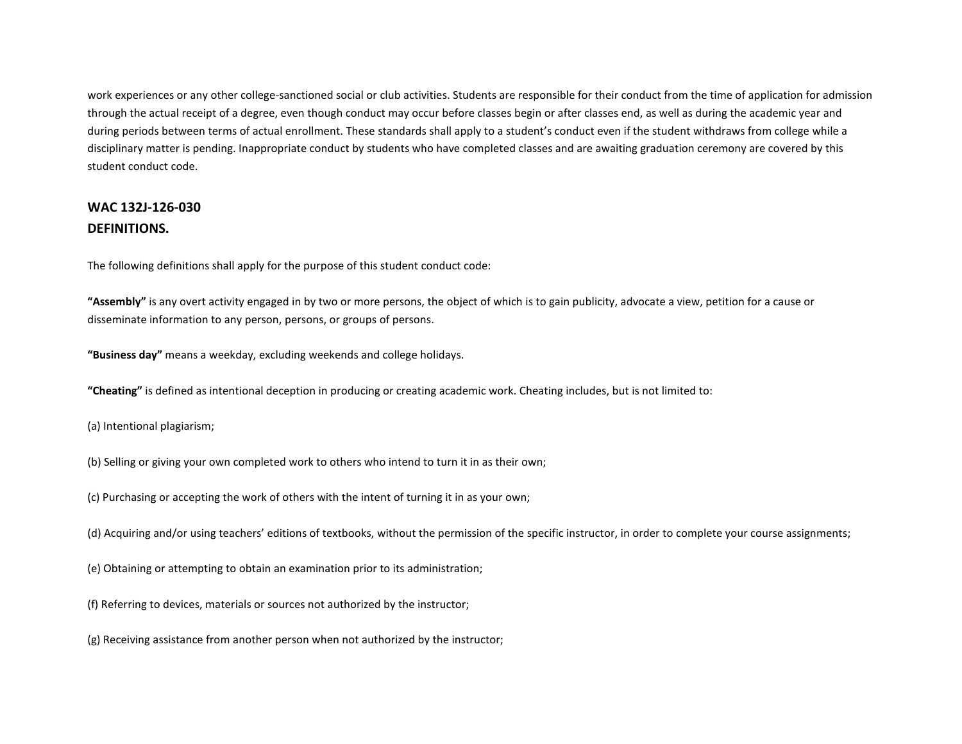work experiences or any other college-sanctioned social or club activities. Students are responsible for their conduct from the time of application for admission through the actual receipt of a degree, even though conduct may occur before classes begin or after classes end, as well as during the academic year and during periods between terms of actual enrollment. These standards shall apply to a student's conduct even if the student withdraws from college while a disciplinary matter is pending. Inappropriate conduct by students who have completed classes and are awaiting graduation ceremony are covered by this student conduct code.

## **WAC 132J-126-030 DEFINITIONS.**

The following definitions shall apply for the purpose of this student conduct code:

**"Assembly"** is any overt activity engaged in by two or more persons, the object of which is to gain publicity, advocate a view, petition for a cause or disseminate information to any person, persons, or groups of persons.

**"Business day"** means a weekday, excluding weekends and college holidays.

**"Cheating"** is defined as intentional deception in producing or creating academic work. Cheating includes, but is not limited to:

- (a) Intentional plagiarism;
- (b) Selling or giving your own completed work to others who intend to turn it in as their own;
- (c) Purchasing or accepting the work of others with the intent of turning it in as your own;
- (d) Acquiring and/or using teachers' editions of textbooks, without the permission of the specific instructor, in order to complete your course assignments;
- (e) Obtaining or attempting to obtain an examination prior to its administration;
- (f) Referring to devices, materials or sources not authorized by the instructor;
- (g) Receiving assistance from another person when not authorized by the instructor;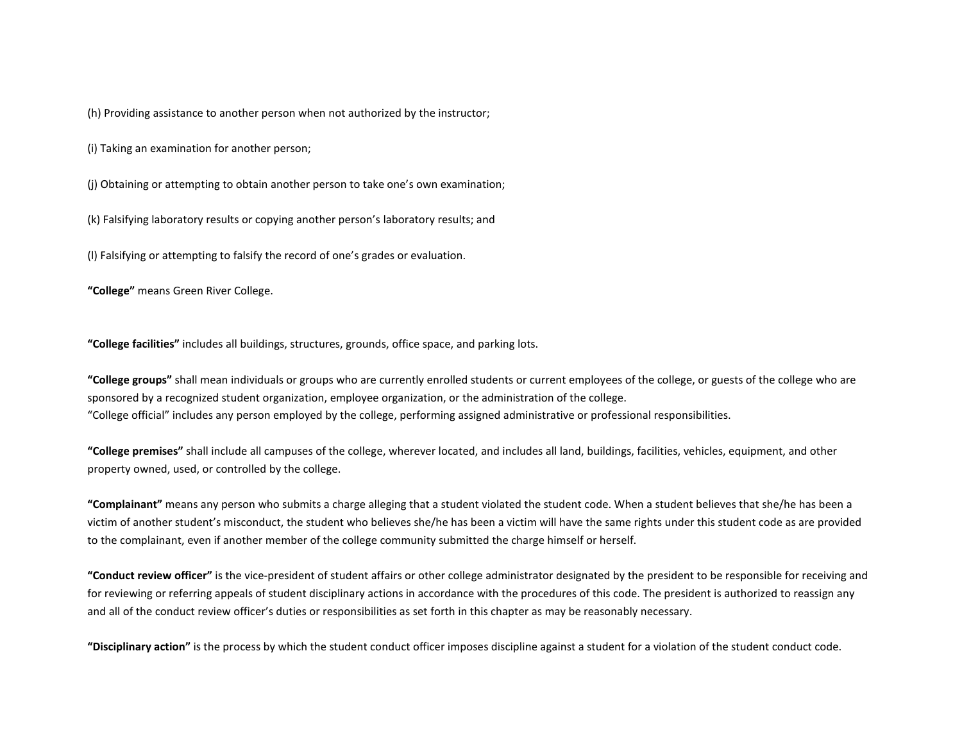(h) Providing assistance to another person when not authorized by the instructor;

(i) Taking an examination for another person;

(j) Obtaining or attempting to obtain another person to take one's own examination;

(k) Falsifying laboratory results or copying another person's laboratory results; and

(l) Falsifying or attempting to falsify the record of one's grades or evaluation.

**"College"** means Green River College.

**"College facilities"** includes all buildings, structures, grounds, office space, and parking lots.

**"College groups"** shall mean individuals or groups who are currently enrolled students or current employees of the college, or guests of the college who are sponsored by a recognized student organization, employee organization, or the administration of the college. "College official" includes any person employed by the college, performing assigned administrative or professional responsibilities.

**"College premises"** shall include all campuses of the college, wherever located, and includes all land, buildings, facilities, vehicles, equipment, and other property owned, used, or controlled by the college.

**"Complainant"** means any person who submits a charge alleging that a student violated the student code. When a student believes that she/he has been a victim of another student's misconduct, the student who believes she/he has been a victim will have the same rights under this student code as are provided to the complainant, even if another member of the college community submitted the charge himself or herself.

**"Conduct review officer"** is the vice-president of student affairs or other college administrator designated by the president to be responsible for receiving and for reviewing or referring appeals of student disciplinary actions in accordance with the procedures of this code. The president is authorized to reassign any and all of the conduct review officer's duties or responsibilities as set forth in this chapter as may be reasonably necessary.

**"Disciplinary action"** is the process by which the student conduct officer imposes discipline against a student for a violation of the student conduct code.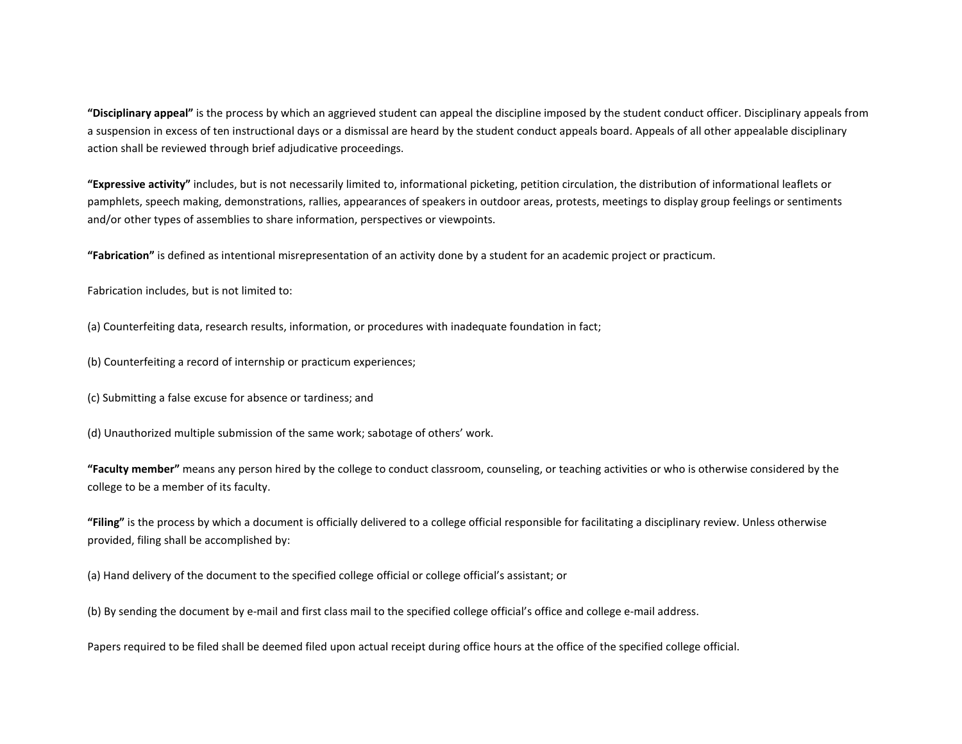**"Disciplinary appeal"** is the process by which an aggrieved student can appeal the discipline imposed by the student conduct officer. Disciplinary appeals from a suspension in excess of ten instructional days or a dismissal are heard by the student conduct appeals board. Appeals of all other appealable disciplinary action shall be reviewed through brief adjudicative proceedings.

**"Expressive activity"** includes, but is not necessarily limited to, informational picketing, petition circulation, the distribution of informational leaflets or pamphlets, speech making, demonstrations, rallies, appearances of speakers in outdoor areas, protests, meetings to display group feelings or sentiments and/or other types of assemblies to share information, perspectives or viewpoints.

**"Fabrication"** is defined as intentional misrepresentation of an activity done by a student for an academic project or practicum.

Fabrication includes, but is not limited to:

(a) Counterfeiting data, research results, information, or procedures with inadequate foundation in fact;

(b) Counterfeiting a record of internship or practicum experiences;

(c) Submitting a false excuse for absence or tardiness; and

(d) Unauthorized multiple submission of the same work; sabotage of others' work.

**"Faculty member"** means any person hired by the college to conduct classroom, counseling, or teaching activities or who is otherwise considered by the college to be a member of its faculty.

**"Filing"** is the process by which a document is officially delivered to a college official responsible for facilitating a disciplinary review. Unless otherwise provided, filing shall be accomplished by:

(a) Hand delivery of the document to the specified college official or college official's assistant; or

(b) By sending the document by e-mail and first class mail to the specified college official's office and college e-mail address.

Papers required to be filed shall be deemed filed upon actual receipt during office hours at the office of the specified college official.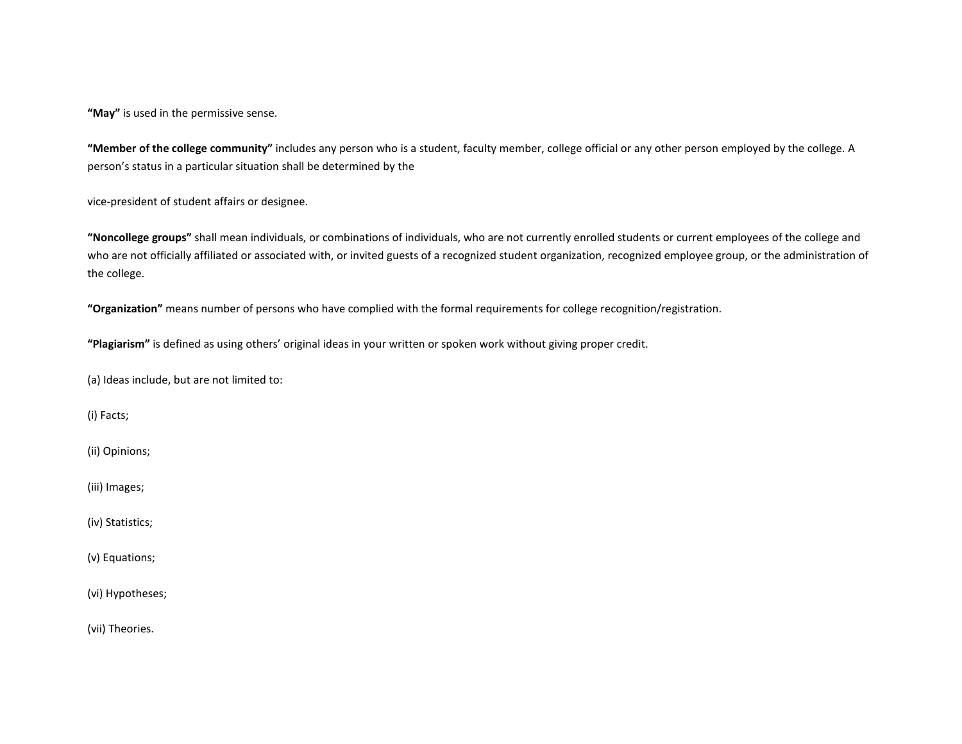**"May"** is used in the permissive sense.

**"Member of the college community"** includes any person who is a student, faculty member, college official or any other person employed by the college. A person's status in a particular situation shall be determined by the

vice-president of student affairs or designee.

**"Noncollege groups"** shall mean individuals, or combinations of individuals, who are not currently enrolled students or current employees of the college and who are not officially affiliated or associated with, or invited guests of a recognized student organization, recognized employee group, or the administration of the college.

**"Organization"** means number of persons who have complied with the formal requirements for college recognition/registration.

**"Plagiarism"** is defined as using others' original ideas in your written or spoken work without giving proper credit.

(a) Ideas include, but are not limited to:

(i) Facts;

(ii) Opinions;

(iii) Images;

(iv) Statistics;

(v) Equations;

(vi) Hypotheses;

(vii) Theories.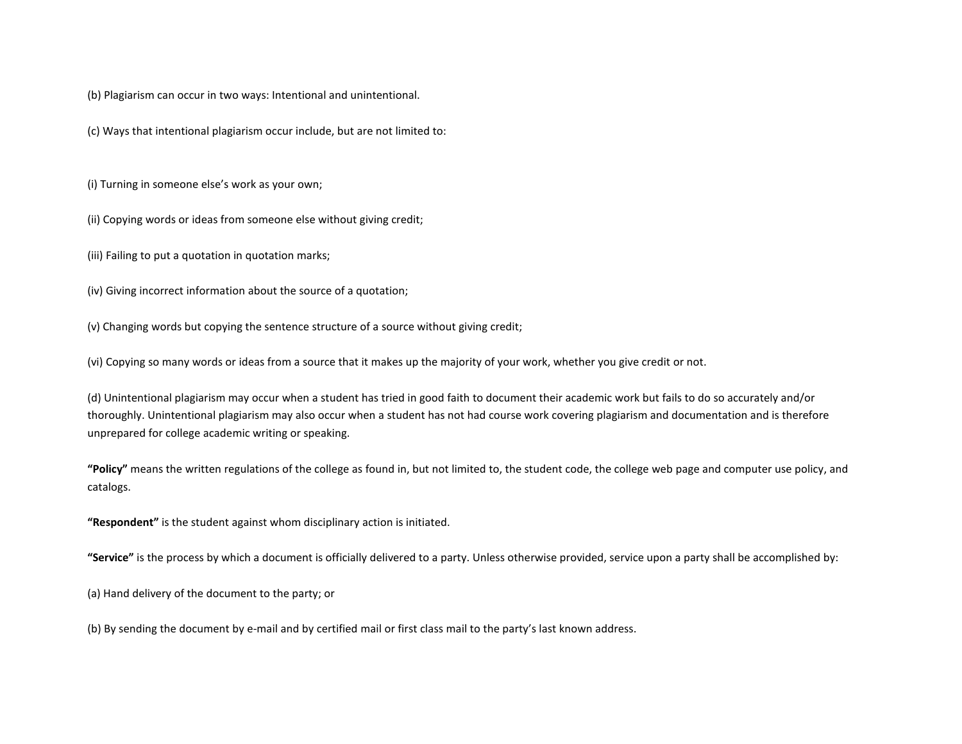(b) Plagiarism can occur in two ways: Intentional and unintentional.

(c) Ways that intentional plagiarism occur include, but are not limited to:

(i) Turning in someone else's work as your own;

(ii) Copying words or ideas from someone else without giving credit;

(iii) Failing to put a quotation in quotation marks;

(iv) Giving incorrect information about the source of a quotation;

(v) Changing words but copying the sentence structure of a source without giving credit;

(vi) Copying so many words or ideas from a source that it makes up the majority of your work, whether you give credit or not.

(d) Unintentional plagiarism may occur when a student has tried in good faith to document their academic work but fails to do so accurately and/or thoroughly. Unintentional plagiarism may also occur when a student has not had course work covering plagiarism and documentation and is therefore unprepared for college academic writing or speaking.

**"Policy"** means the written regulations of the college as found in, but not limited to, the student code, the college web page and computer use policy, and catalogs.

**"Respondent"** is the student against whom disciplinary action is initiated.

**"Service"** is the process by which a document is officially delivered to a party. Unless otherwise provided, service upon a party shall be accomplished by:

(a) Hand delivery of the document to the party; or

(b) By sending the document by e-mail and by certified mail or first class mail to the party's last known address.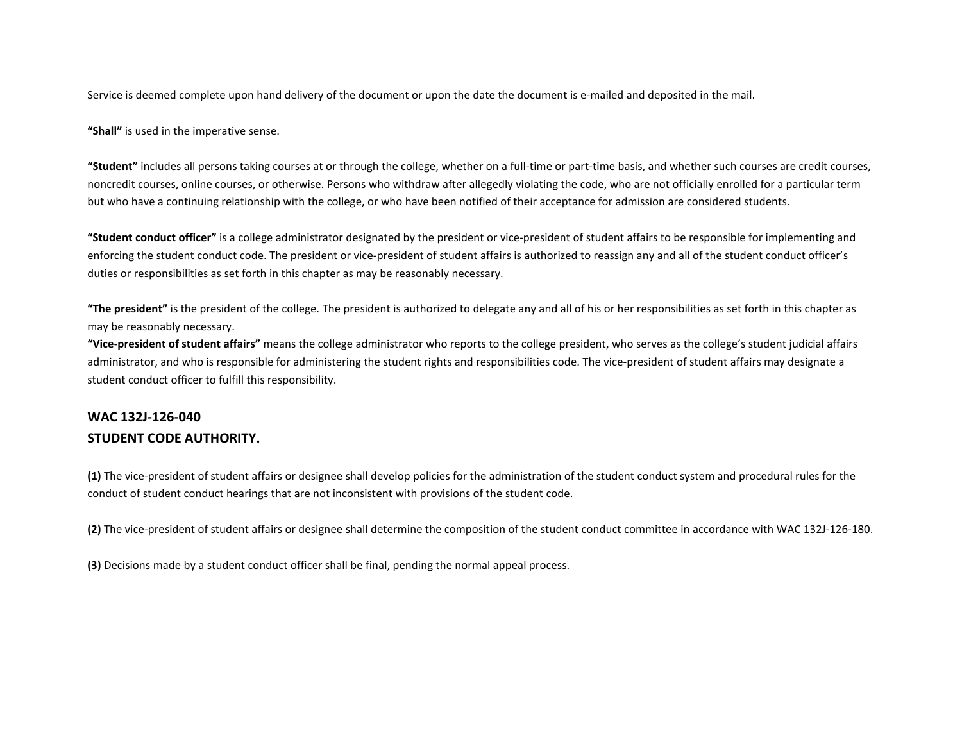Service is deemed complete upon hand delivery of the document or upon the date the document is e-mailed and deposited in the mail.

**"Shall"** is used in the imperative sense.

**"Student"** includes all persons taking courses at or through the college, whether on a full-time or part-time basis, and whether such courses are credit courses, noncredit courses, online courses, or otherwise. Persons who withdraw after allegedly violating the code, who are not officially enrolled for a particular term but who have a continuing relationship with the college, or who have been notified of their acceptance for admission are considered students.

**"Student conduct officer"** is a college administrator designated by the president or vice-president of student affairs to be responsible for implementing and enforcing the student conduct code. The president or vice-president of student affairs is authorized to reassign any and all of the student conduct officer's duties or responsibilities as set forth in this chapter as may be reasonably necessary.

**"The president"** is the president of the college. The president is authorized to delegate any and all of his or her responsibilities as set forth in this chapter as may be reasonably necessary.

**"Vice-president of student affairs"** means the college administrator who reports to the college president, who serves as the college's student judicial affairs administrator, and who is responsible for administering the student rights and responsibilities code. The vice-president of student affairs may designate a student conduct officer to fulfill this responsibility.

## **WAC 132J-126-040 STUDENT CODE AUTHORITY.**

**(1)** The vice-president of student affairs or designee shall develop policies for the administration of the student conduct system and procedural rules for the conduct of student conduct hearings that are not inconsistent with provisions of the student code.

**(2)** The vice-president of student affairs or designee shall determine the composition of the student conduct committee in accordance with WAC 132J-126-180.

**(3)** Decisions made by a student conduct officer shall be final, pending the normal appeal process.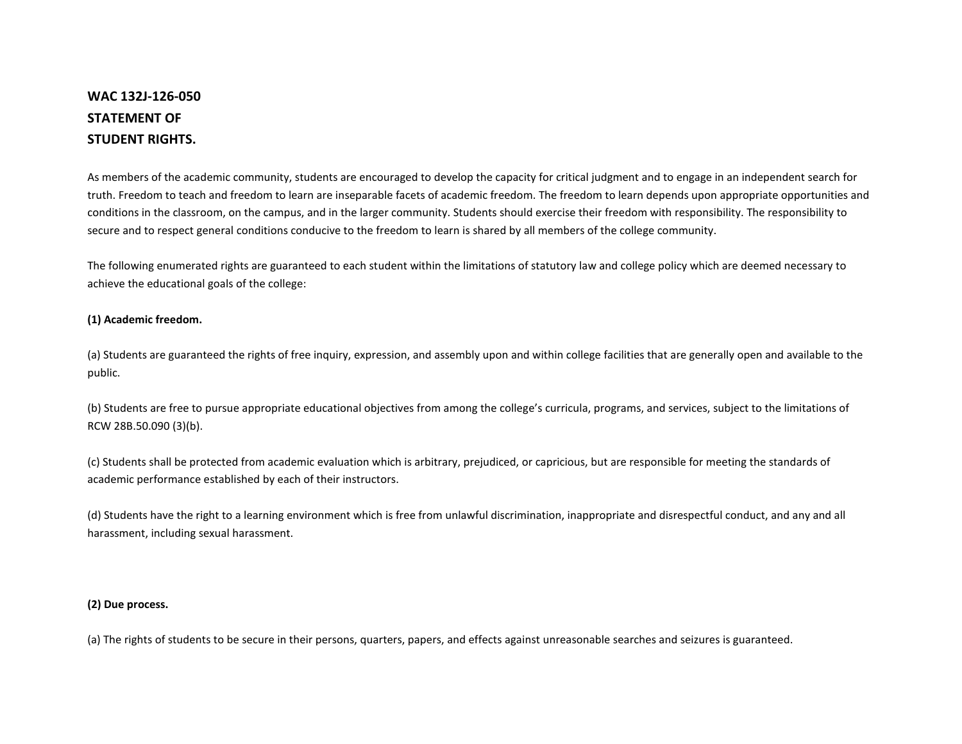# **WAC 132J-126-050 STATEMENT OF STUDENT RIGHTS.**

As members of the academic community, students are encouraged to develop the capacity for critical judgment and to engage in an independent search for truth. Freedom to teach and freedom to learn are inseparable facets of academic freedom. The freedom to learn depends upon appropriate opportunities and conditions in the classroom, on the campus, and in the larger community. Students should exercise their freedom with responsibility. The responsibility to secure and to respect general conditions conducive to the freedom to learn is shared by all members of the college community.

The following enumerated rights are guaranteed to each student within the limitations of statutory law and college policy which are deemed necessary to achieve the educational goals of the college:

#### **(1) Academic freedom.**

(a) Students are guaranteed the rights of free inquiry, expression, and assembly upon and within college facilities that are generally open and available to the public.

(b) Students are free to pursue appropriate educational objectives from among the college's curricula, programs, and services, subject to the limitations of RCW 28B.50.090 (3)(b).

(c) Students shall be protected from academic evaluation which is arbitrary, prejudiced, or capricious, but are responsible for meeting the standards of academic performance established by each of their instructors.

(d) Students have the right to a learning environment which is free from unlawful discrimination, inappropriate and disrespectful conduct, and any and all harassment, including sexual harassment.

#### **(2) Due process.**

(a) The rights of students to be secure in their persons, quarters, papers, and effects against unreasonable searches and seizures is guaranteed.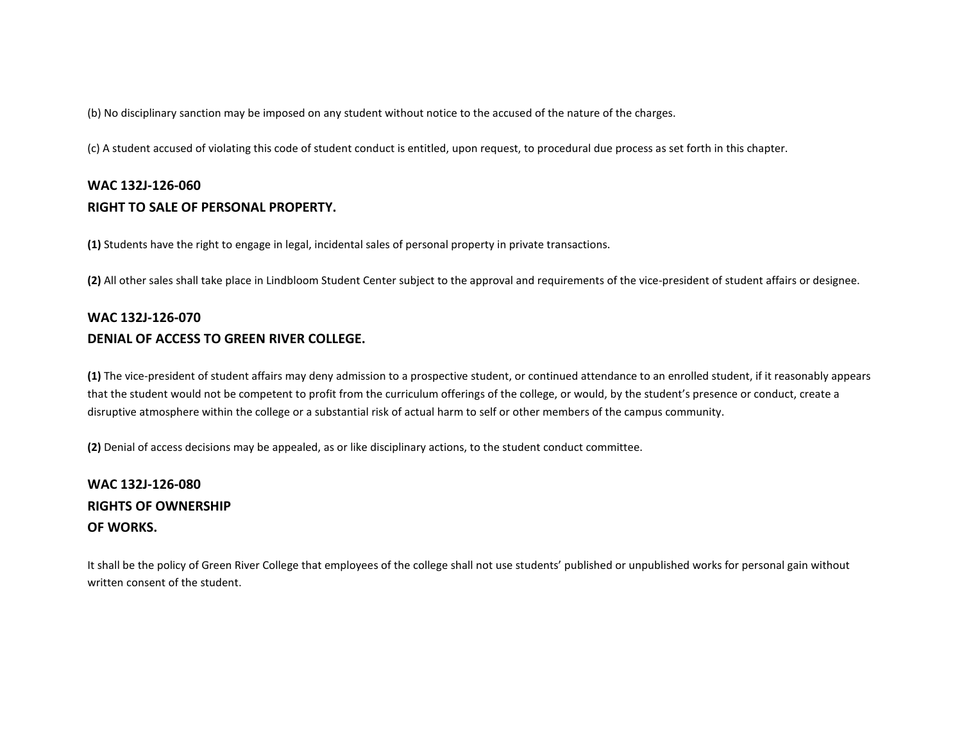(b) No disciplinary sanction may be imposed on any student without notice to the accused of the nature of the charges.

(c) A student accused of violating this code of student conduct is entitled, upon request, to procedural due process as set forth in this chapter.

## **WAC 132J-126-060 RIGHT TO SALE OF PERSONAL PROPERTY.**

**(1)** Students have the right to engage in legal, incidental sales of personal property in private transactions.

**(2)** All other sales shall take place in Lindbloom Student Center subject to the approval and requirements of the vice-president of student affairs or designee.

# **WAC 132J-126-070 DENIAL OF ACCESS TO GREEN RIVER COLLEGE.**

**(1)** The vice-president of student affairs may deny admission to a prospective student, or continued attendance to an enrolled student, if it reasonably appears that the student would not be competent to profit from the curriculum offerings of the college, or would, by the student's presence or conduct, create a disruptive atmosphere within the college or a substantial risk of actual harm to self or other members of the campus community.

**(2)** Denial of access decisions may be appealed, as or like disciplinary actions, to the student conduct committee.

# **WAC 132J-126-080 RIGHTS OF OWNERSHIP OF WORKS.**

It shall be the policy of Green River College that employees of the college shall not use students' published or unpublished works for personal gain without written consent of the student.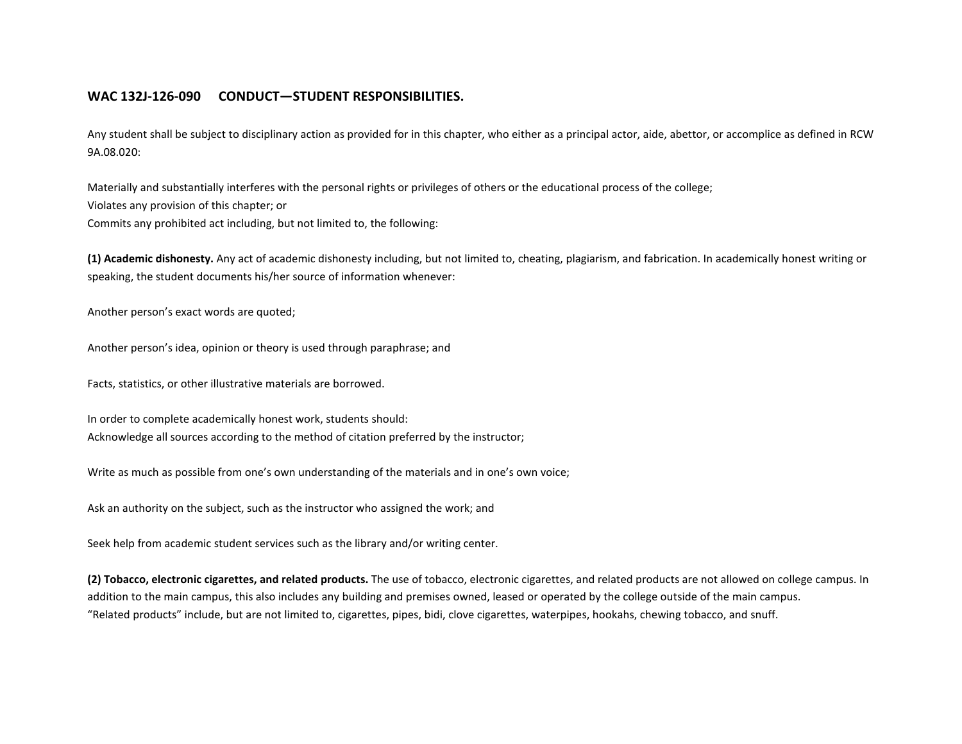### **WAC 132J-126-090 CONDUCT—STUDENT RESPONSIBILITIES.**

Any student shall be subject to disciplinary action as provided for in this chapter, who either as a principal actor, aide, abettor, or accomplice as defined in RCW 9A.08.020:

Materially and substantially interferes with the personal rights or privileges of others or the educational process of the college; Violates any provision of this chapter; or Commits any prohibited act including, but not limited to, the following:

**(1) Academic dishonesty.** Any act of academic dishonesty including, but not limited to, cheating, plagiarism, and fabrication. In academically honest writing or speaking, the student documents his/her source of information whenever:

Another person's exact words are quoted;

Another person's idea, opinion or theory is used through paraphrase; and

Facts, statistics, or other illustrative materials are borrowed.

In order to complete academically honest work, students should: Acknowledge all sources according to the method of citation preferred by the instructor;

Write as much as possible from one's own understanding of the materials and in one's own voice;

Ask an authority on the subject, such as the instructor who assigned the work; and

Seek help from academic student services such as the library and/or writing center.

**(2) Tobacco, electronic cigarettes, and related products.** The use of tobacco, electronic cigarettes, and related products are not allowed on college campus. In addition to the main campus, this also includes any building and premises owned, leased or operated by the college outside of the main campus. "Related products" include, but are not limited to, cigarettes, pipes, bidi, clove cigarettes, waterpipes, hookahs, chewing tobacco, and snuff.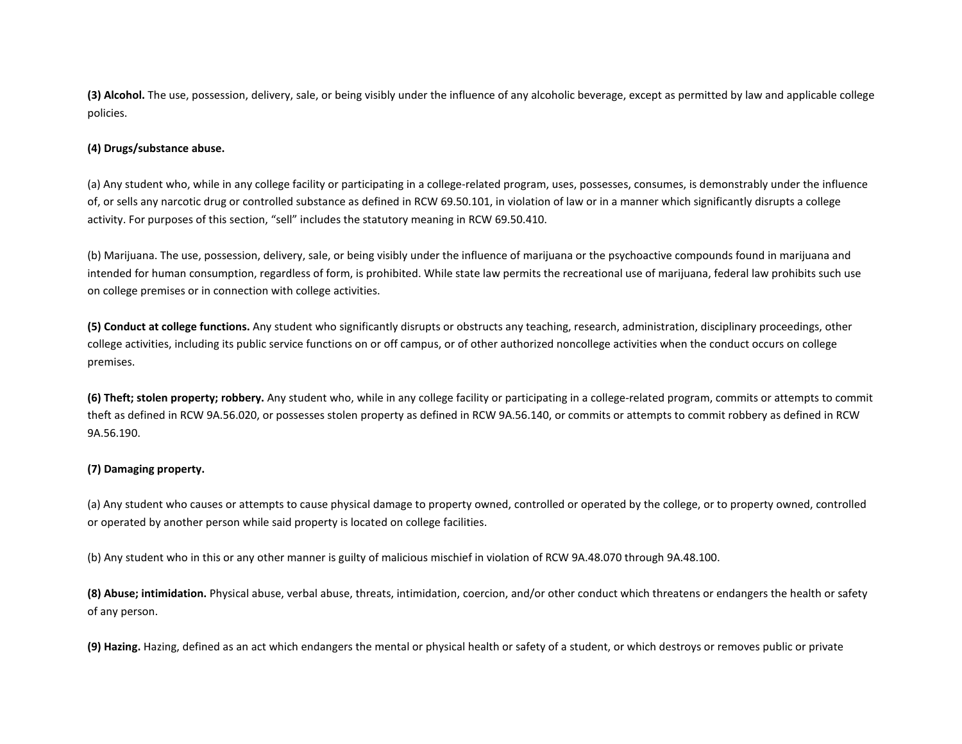**(3) Alcohol.** The use, possession, delivery, sale, or being visibly under the influence of any alcoholic beverage, except as permitted by law and applicable college policies.

#### **(4) Drugs/substance abuse.**

(a) Any student who, while in any college facility or participating in a college-related program, uses, possesses, consumes, is demonstrably under the influence of, or sells any narcotic drug or controlled substance as defined in RCW 69.50.101, in violation of law or in a manner which significantly disrupts a college activity. For purposes of this section, "sell" includes the statutory meaning in RCW 69.50.410.

(b) Marijuana. The use, possession, delivery, sale, or being visibly under the influence of marijuana or the psychoactive compounds found in marijuana and intended for human consumption, regardless of form, is prohibited. While state law permits the recreational use of marijuana, federal law prohibits such use on college premises or in connection with college activities.

**(5) Conduct at college functions.** Any student who significantly disrupts or obstructs any teaching, research, administration, disciplinary proceedings, other college activities, including its public service functions on or off campus, or of other authorized noncollege activities when the conduct occurs on college premises.

**(6) Theft; stolen property; robbery.** Any student who, while in any college facility or participating in a college-related program, commits or attempts to commit theft as defined in RCW 9A.56.020, or possesses stolen property as defined in RCW 9A.56.140, or commits or attempts to commit robbery as defined in RCW 9A.56.190.

#### **(7) Damaging property.**

(a) Any student who causes or attempts to cause physical damage to property owned, controlled or operated by the college, or to property owned, controlled or operated by another person while said property is located on college facilities.

(b) Any student who in this or any other manner is guilty of malicious mischief in violation of RCW 9A.48.070 through 9A.48.100.

**(8) Abuse; intimidation.** Physical abuse, verbal abuse, threats, intimidation, coercion, and/or other conduct which threatens or endangers the health or safety of any person.

**(9) Hazing.** Hazing, defined as an act which endangers the mental or physical health or safety of a student, or which destroys or removes public or private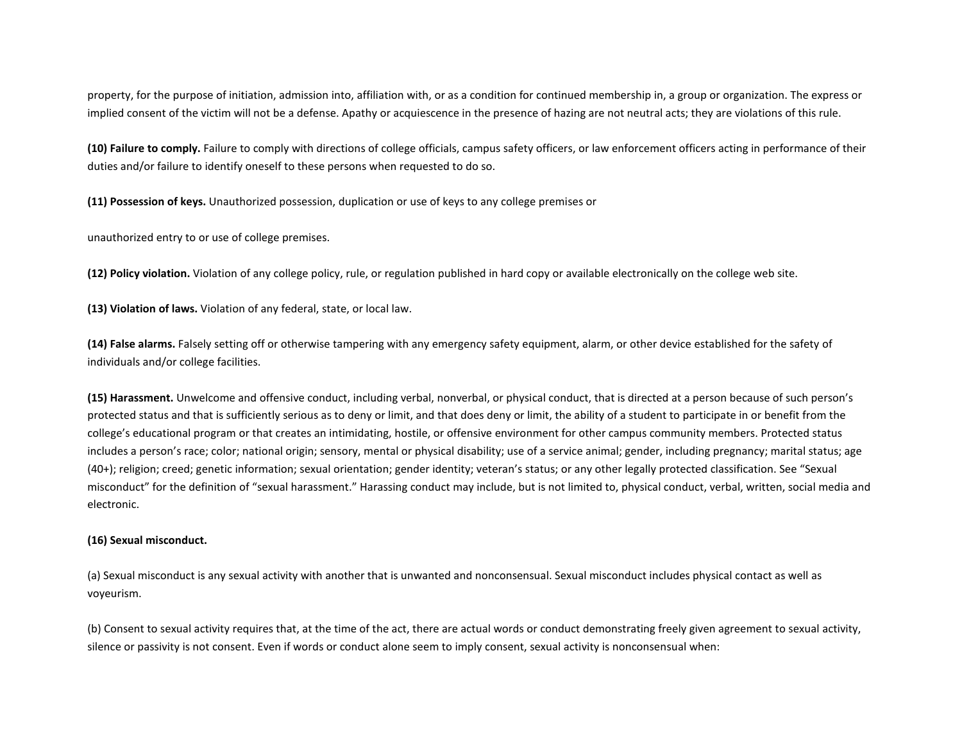property, for the purpose of initiation, admission into, affiliation with, or as a condition for continued membership in, a group or organization. The express or implied consent of the victim will not be a defense. Apathy or acquiescence in the presence of hazing are not neutral acts; they are violations of this rule.

**(10) Failure to comply.** Failure to comply with directions of college officials, campus safety officers, or law enforcement officers acting in performance of their duties and/or failure to identify oneself to these persons when requested to do so.

**(11) Possession of keys.** Unauthorized possession, duplication or use of keys to any college premises or

unauthorized entry to or use of college premises.

**(12) Policy violation.** Violation of any college policy, rule, or regulation published in hard copy or available electronically on the college web site.

**(13) Violation of laws.** Violation of any federal, state, or local law.

**(14) False alarms.** Falsely setting off or otherwise tampering with any emergency safety equipment, alarm, or other device established for the safety of individuals and/or college facilities.

**(15) Harassment.** Unwelcome and offensive conduct, including verbal, nonverbal, or physical conduct, that is directed at a person because of such person's protected status and that is sufficiently serious as to deny or limit, and that does deny or limit, the ability of a student to participate in or benefit from the college's educational program or that creates an intimidating, hostile, or offensive environment for other campus community members. Protected status includes a person's race; color; national origin; sensory, mental or physical disability; use of a service animal; gender, including pregnancy; marital status; age (40+); religion; creed; genetic information; sexual orientation; gender identity; veteran's status; or any other legally protected classification. See "Sexual misconduct" for the definition of "sexual harassment." Harassing conduct may include, but is not limited to, physical conduct, verbal, written, social media and electronic.

#### **(16) Sexual misconduct.**

(a) Sexual misconduct is any sexual activity with another that is unwanted and nonconsensual. Sexual misconduct includes physical contact as well as voyeurism.

(b) Consent to sexual activity requires that, at the time of the act, there are actual words or conduct demonstrating freely given agreement to sexual activity, silence or passivity is not consent. Even if words or conduct alone seem to imply consent, sexual activity is nonconsensual when: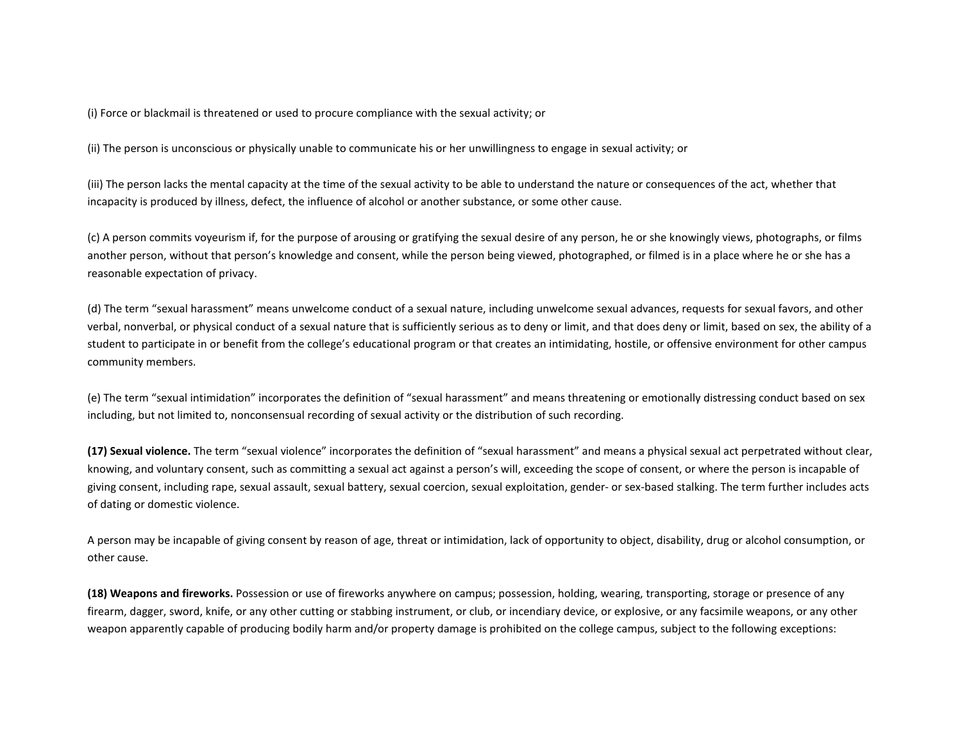(i) Force or blackmail is threatened or used to procure compliance with the sexual activity; or

(ii) The person is unconscious or physically unable to communicate his or her unwillingness to engage in sexual activity; or

(iii) The person lacks the mental capacity at the time of the sexual activity to be able to understand the nature or consequences of the act, whether that incapacity is produced by illness, defect, the influence of alcohol or another substance, or some other cause.

(c) A person commits voyeurism if, for the purpose of arousing or gratifying the sexual desire of any person, he or she knowingly views, photographs, or films another person, without that person's knowledge and consent, while the person being viewed, photographed, or filmed is in a place where he or she has a reasonable expectation of privacy.

(d) The term "sexual harassment" means unwelcome conduct of a sexual nature, including unwelcome sexual advances, requests for sexual favors, and other verbal, nonverbal, or physical conduct of a sexual nature that is sufficiently serious as to deny or limit, and that does deny or limit, based on sex, the ability of a student to participate in or benefit from the college's educational program or that creates an intimidating, hostile, or offensive environment for other campus community members.

(e) The term "sexual intimidation" incorporates the definition of "sexual harassment" and means threatening or emotionally distressing conduct based on sex including, but not limited to, nonconsensual recording of sexual activity or the distribution of such recording.

**(17) Sexual violence.** The term "sexual violence" incorporates the definition of "sexual harassment" and means a physical sexual act perpetrated without clear, knowing, and voluntary consent, such as committing a sexual act against a person's will, exceeding the scope of consent, or where the person is incapable of giving consent, including rape, sexual assault, sexual battery, sexual coercion, sexual exploitation, gender- or sex-based stalking. The term further includes acts of dating or domestic violence.

A person may be incapable of giving consent by reason of age, threat or intimidation, lack of opportunity to object, disability, drug or alcohol consumption, or other cause.

**(18) Weapons and fireworks.** Possession or use of fireworks anywhere on campus; possession, holding, wearing, transporting, storage or presence of any firearm, dagger, sword, knife, or any other cutting or stabbing instrument, or club, or incendiary device, or explosive, or any facsimile weapons, or any other weapon apparently capable of producing bodily harm and/or property damage is prohibited on the college campus, subject to the following exceptions: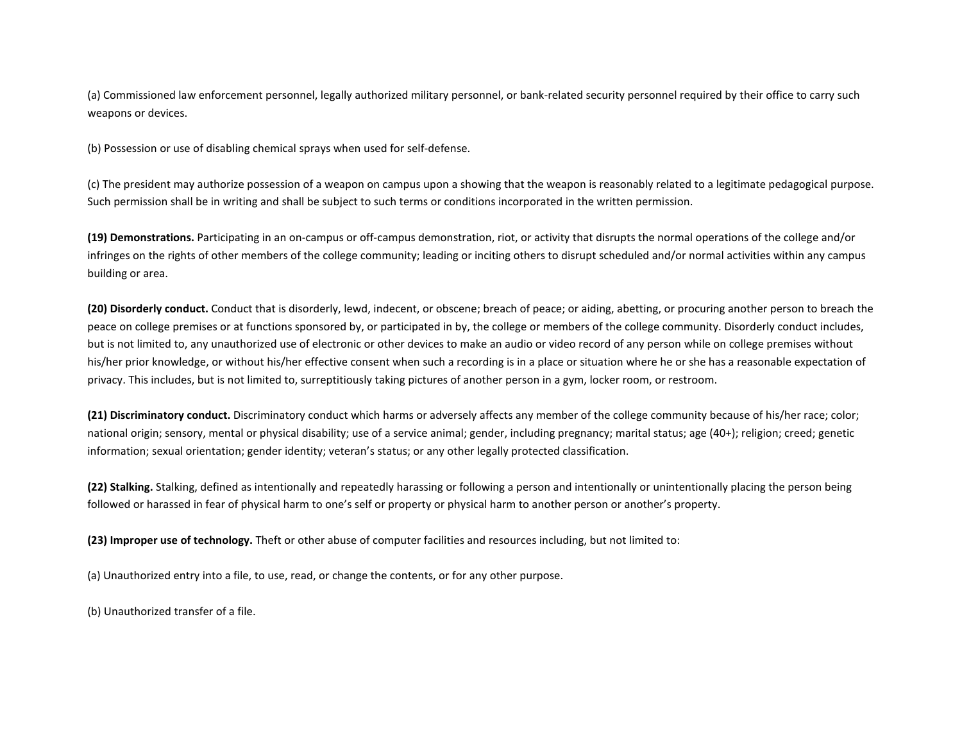(a) Commissioned law enforcement personnel, legally authorized military personnel, or bank-related security personnel required by their office to carry such weapons or devices.

(b) Possession or use of disabling chemical sprays when used for self-defense.

(c) The president may authorize possession of a weapon on campus upon a showing that the weapon is reasonably related to a legitimate pedagogical purpose. Such permission shall be in writing and shall be subject to such terms or conditions incorporated in the written permission.

**(19) Demonstrations.** Participating in an on-campus or off-campus demonstration, riot, or activity that disrupts the normal operations of the college and/or infringes on the rights of other members of the college community; leading or inciting others to disrupt scheduled and/or normal activities within any campus building or area.

**(20) Disorderly conduct.** Conduct that is disorderly, lewd, indecent, or obscene; breach of peace; or aiding, abetting, or procuring another person to breach the peace on college premises or at functions sponsored by, or participated in by, the college or members of the college community. Disorderly conduct includes, but is not limited to, any unauthorized use of electronic or other devices to make an audio or video record of any person while on college premises without his/her prior knowledge, or without his/her effective consent when such a recording is in a place or situation where he or she has a reasonable expectation of privacy. This includes, but is not limited to, surreptitiously taking pictures of another person in a gym, locker room, or restroom.

**(21) Discriminatory conduct.** Discriminatory conduct which harms or adversely affects any member of the college community because of his/her race; color; national origin; sensory, mental or physical disability; use of a service animal; gender, including pregnancy; marital status; age (40+); religion; creed; genetic information; sexual orientation; gender identity; veteran's status; or any other legally protected classification.

**(22) Stalking.** Stalking, defined as intentionally and repeatedly harassing or following a person and intentionally or unintentionally placing the person being followed or harassed in fear of physical harm to one's self or property or physical harm to another person or another's property.

**(23) Improper use of technology.** Theft or other abuse of computer facilities and resources including, but not limited to:

(a) Unauthorized entry into a file, to use, read, or change the contents, or for any other purpose.

(b) Unauthorized transfer of a file.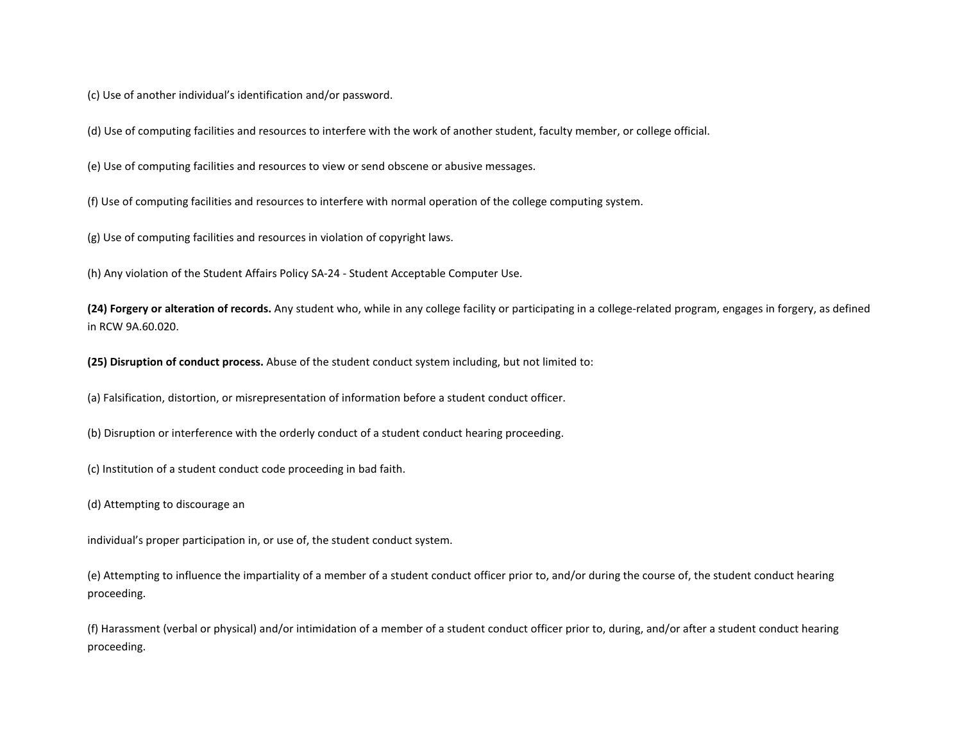(c) Use of another individual's identification and/or password.

(d) Use of computing facilities and resources to interfere with the work of another student, faculty member, or college official.

(e) Use of computing facilities and resources to view or send obscene or abusive messages.

(f) Use of computing facilities and resources to interfere with normal operation of the college computing system.

(g) Use of computing facilities and resources in violation of copyright laws.

(h) Any violation of the Student Affairs Policy SA-24 - Student Acceptable Computer Use.

**(24) Forgery or alteration of records.** Any student who, while in any college facility or participating in a college-related program, engages in forgery, as defined in RCW 9A.60.020.

**(25) Disruption of conduct process.** Abuse of the student conduct system including, but not limited to:

(a) Falsification, distortion, or misrepresentation of information before a student conduct officer.

(b) Disruption or interference with the orderly conduct of a student conduct hearing proceeding.

(c) Institution of a student conduct code proceeding in bad faith.

(d) Attempting to discourage an

individual's proper participation in, or use of, the student conduct system.

(e) Attempting to influence the impartiality of a member of a student conduct officer prior to, and/or during the course of, the student conduct hearing proceeding.

(f) Harassment (verbal or physical) and/or intimidation of a member of a student conduct officer prior to, during, and/or after a student conduct hearing proceeding.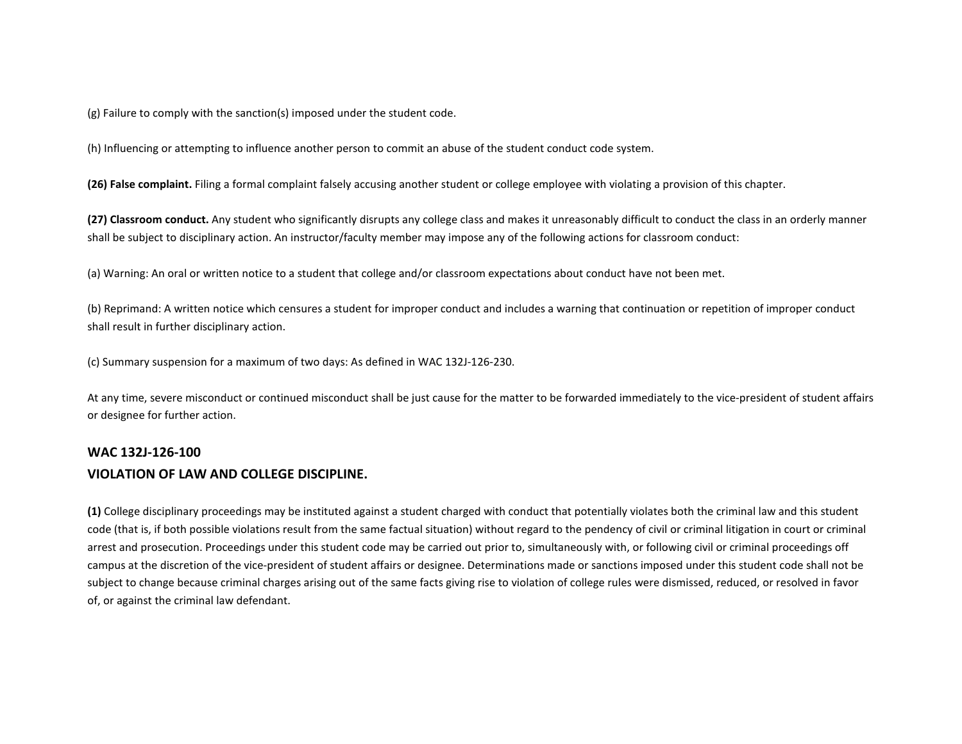(g) Failure to comply with the sanction(s) imposed under the student code.

(h) Influencing or attempting to influence another person to commit an abuse of the student conduct code system.

**(26) False complaint.** Filing a formal complaint falsely accusing another student or college employee with violating a provision of this chapter.

**(27) Classroom conduct.** Any student who significantly disrupts any college class and makes it unreasonably difficult to conduct the class in an orderly manner shall be subject to disciplinary action. An instructor/faculty member may impose any of the following actions for classroom conduct:

(a) Warning: An oral or written notice to a student that college and/or classroom expectations about conduct have not been met.

(b) Reprimand: A written notice which censures a student for improper conduct and includes a warning that continuation or repetition of improper conduct shall result in further disciplinary action.

(c) Summary suspension for a maximum of two days: As defined in WAC 132J-126-230.

At any time, severe misconduct or continued misconduct shall be just cause for the matter to be forwarded immediately to the vice-president of student affairs or designee for further action.

## **WAC 132J-126-100 VIOLATION OF LAW AND COLLEGE DISCIPLINE.**

**(1)** College disciplinary proceedings may be instituted against a student charged with conduct that potentially violates both the criminal law and this student code (that is, if both possible violations result from the same factual situation) without regard to the pendency of civil or criminal litigation in court or criminal arrest and prosecution. Proceedings under this student code may be carried out prior to, simultaneously with, or following civil or criminal proceedings off campus at the discretion of the vice-president of student affairs or designee. Determinations made or sanctions imposed under this student code shall not be subject to change because criminal charges arising out of the same facts giving rise to violation of college rules were dismissed, reduced, or resolved in favor of, or against the criminal law defendant.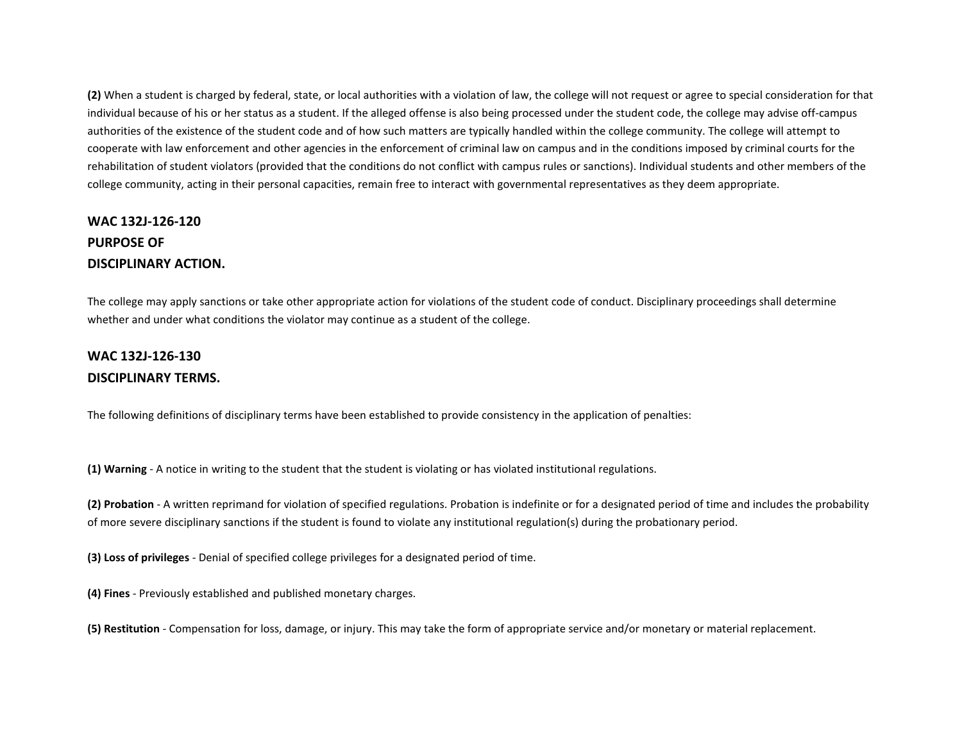**(2)** When a student is charged by federal, state, or local authorities with a violation of law, the college will not request or agree to special consideration for that individual because of his or her status as a student. If the alleged offense is also being processed under the student code, the college may advise off-campus authorities of the existence of the student code and of how such matters are typically handled within the college community. The college will attempt to cooperate with law enforcement and other agencies in the enforcement of criminal law on campus and in the conditions imposed by criminal courts for the rehabilitation of student violators (provided that the conditions do not conflict with campus rules or sanctions). Individual students and other members of the college community, acting in their personal capacities, remain free to interact with governmental representatives as they deem appropriate.

# **WAC 132J-126-120 PURPOSE OF DISCIPLINARY ACTION.**

The college may apply sanctions or take other appropriate action for violations of the student code of conduct. Disciplinary proceedings shall determine whether and under what conditions the violator may continue as a student of the college.

## **WAC 132J-126-130 DISCIPLINARY TERMS.**

The following definitions of disciplinary terms have been established to provide consistency in the application of penalties:

**(1) Warning** - A notice in writing to the student that the student is violating or has violated institutional regulations.

**(2) Probation** - A written reprimand for violation of specified regulations. Probation is indefinite or for a designated period of time and includes the probability of more severe disciplinary sanctions if the student is found to violate any institutional regulation(s) during the probationary period.

**(3) Loss of privileges** - Denial of specified college privileges for a designated period of time.

**(4) Fines** - Previously established and published monetary charges.

**(5) Restitution** - Compensation for loss, damage, or injury. This may take the form of appropriate service and/or monetary or material replacement.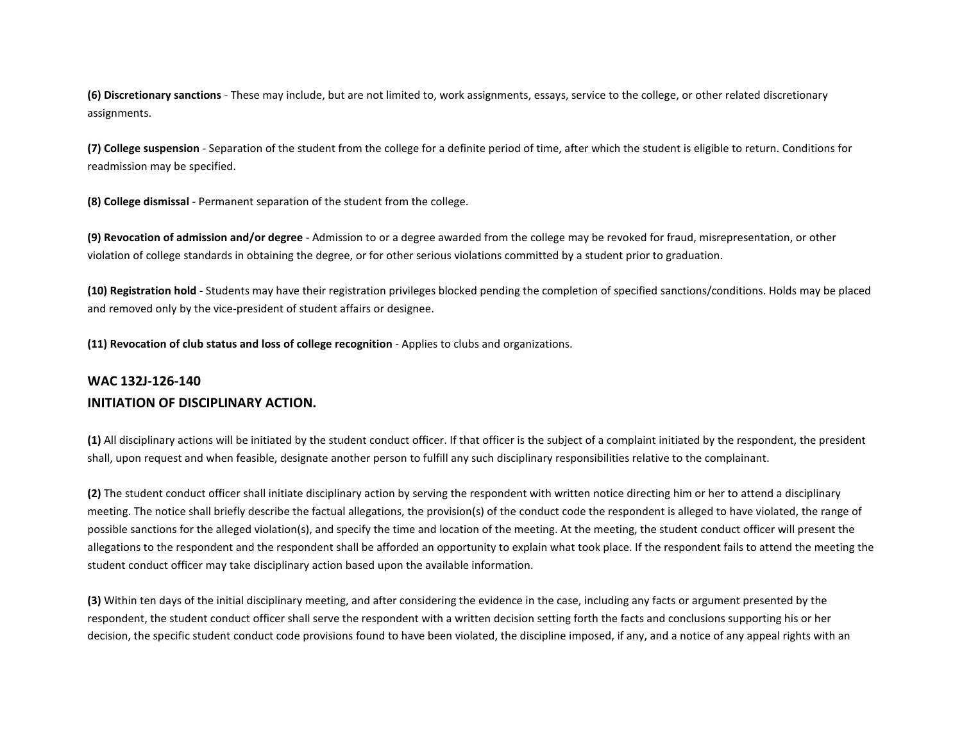**(6) Discretionary sanctions** - These may include, but are not limited to, work assignments, essays, service to the college, or other related discretionary assignments.

**(7) College suspension** - Separation of the student from the college for a definite period of time, after which the student is eligible to return. Conditions for readmission may be specified.

**(8) College dismissal** - Permanent separation of the student from the college.

**(9) Revocation of admission and/or degree** - Admission to or a degree awarded from the college may be revoked for fraud, misrepresentation, or other violation of college standards in obtaining the degree, or for other serious violations committed by a student prior to graduation.

**(10) Registration hold** - Students may have their registration privileges blocked pending the completion of specified sanctions/conditions. Holds may be placed and removed only by the vice-president of student affairs or designee.

**(11) Revocation of club status and loss of college recognition** - Applies to clubs and organizations.

## **WAC 132J-126-140 INITIATION OF DISCIPLINARY ACTION.**

**(1)** All disciplinary actions will be initiated by the student conduct officer. If that officer is the subject of a complaint initiated by the respondent, the president shall, upon request and when feasible, designate another person to fulfill any such disciplinary responsibilities relative to the complainant.

**(2)** The student conduct officer shall initiate disciplinary action by serving the respondent with written notice directing him or her to attend a disciplinary meeting. The notice shall briefly describe the factual allegations, the provision(s) of the conduct code the respondent is alleged to have violated, the range of possible sanctions for the alleged violation(s), and specify the time and location of the meeting. At the meeting, the student conduct officer will present the allegations to the respondent and the respondent shall be afforded an opportunity to explain what took place. If the respondent fails to attend the meeting the student conduct officer may take disciplinary action based upon the available information.

**(3)** Within ten days of the initial disciplinary meeting, and after considering the evidence in the case, including any facts or argument presented by the respondent, the student conduct officer shall serve the respondent with a written decision setting forth the facts and conclusions supporting his or her decision, the specific student conduct code provisions found to have been violated, the discipline imposed, if any, and a notice of any appeal rights with an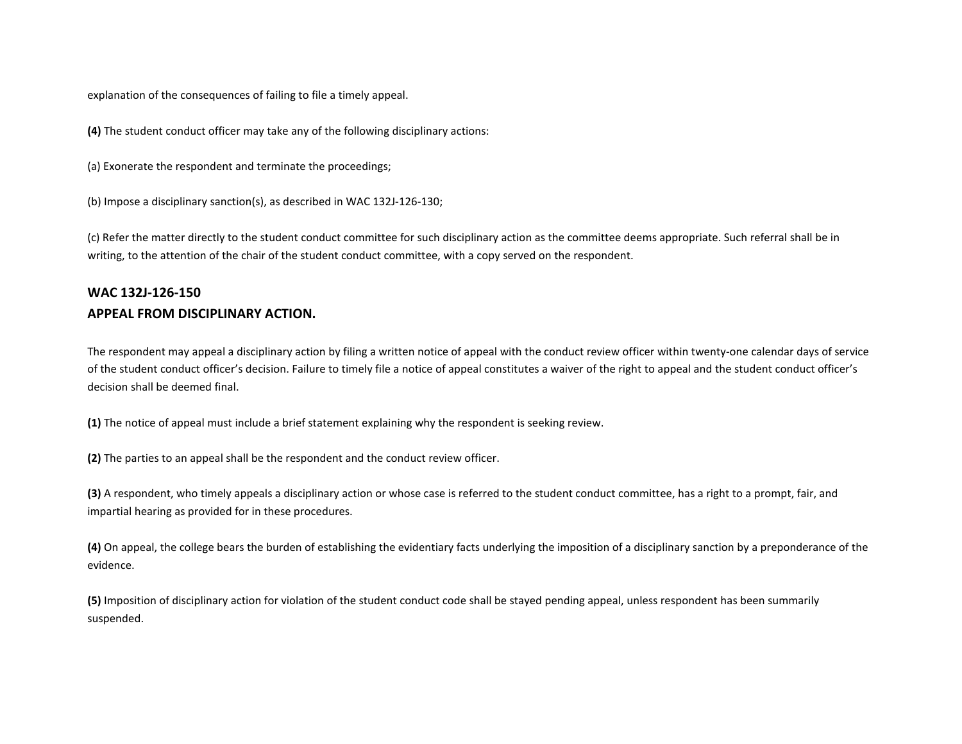explanation of the consequences of failing to file a timely appeal.

**(4)** The student conduct officer may take any of the following disciplinary actions:

(a) Exonerate the respondent and terminate the proceedings;

(b) Impose a disciplinary sanction(s), as described in WAC 132J-126-130;

(c) Refer the matter directly to the student conduct committee for such disciplinary action as the committee deems appropriate. Such referral shall be in writing, to the attention of the chair of the student conduct committee, with a copy served on the respondent.

## **WAC 132J-126-150 APPEAL FROM DISCIPLINARY ACTION.**

The respondent may appeal a disciplinary action by filing a written notice of appeal with the conduct review officer within twenty-one calendar days of service of the student conduct officer's decision. Failure to timely file a notice of appeal constitutes a waiver of the right to appeal and the student conduct officer's decision shall be deemed final.

**(1)** The notice of appeal must include a brief statement explaining why the respondent is seeking review.

**(2)** The parties to an appeal shall be the respondent and the conduct review officer.

**(3)** A respondent, who timely appeals a disciplinary action or whose case is referred to the student conduct committee, has a right to a prompt, fair, and impartial hearing as provided for in these procedures.

**(4)** On appeal, the college bears the burden of establishing the evidentiary facts underlying the imposition of a disciplinary sanction by a preponderance of the evidence.

**(5)** Imposition of disciplinary action for violation of the student conduct code shall be stayed pending appeal, unless respondent has been summarily suspended.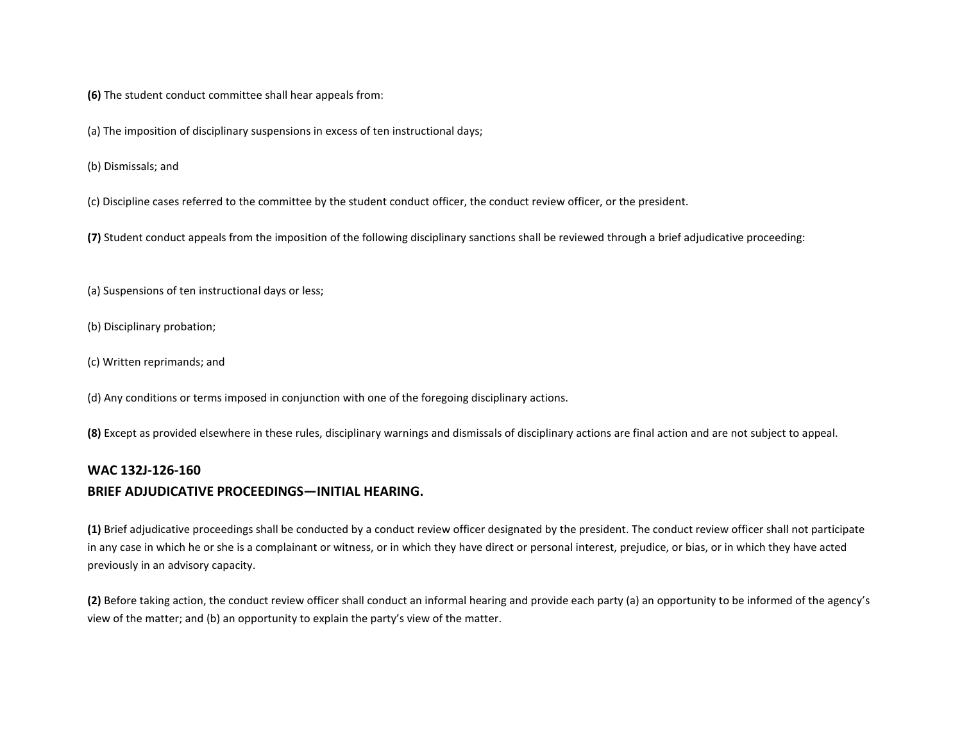**(6)** The student conduct committee shall hear appeals from:

(a) The imposition of disciplinary suspensions in excess of ten instructional days;

(b) Dismissals; and

(c) Discipline cases referred to the committee by the student conduct officer, the conduct review officer, or the president.

**(7)** Student conduct appeals from the imposition of the following disciplinary sanctions shall be reviewed through a brief adjudicative proceeding:

(a) Suspensions of ten instructional days or less;

(b) Disciplinary probation;

(c) Written reprimands; and

(d) Any conditions or terms imposed in conjunction with one of the foregoing disciplinary actions.

**(8)** Except as provided elsewhere in these rules, disciplinary warnings and dismissals of disciplinary actions are final action and are not subject to appeal.

#### **WAC 132J-126-160**

### **BRIEF ADJUDICATIVE PROCEEDINGS—INITIAL HEARING.**

**(1)** Brief adjudicative proceedings shall be conducted by a conduct review officer designated by the president. The conduct review officer shall not participate in any case in which he or she is a complainant or witness, or in which they have direct or personal interest, prejudice, or bias, or in which they have acted previously in an advisory capacity.

**(2)** Before taking action, the conduct review officer shall conduct an informal hearing and provide each party (a) an opportunity to be informed of the agency's view of the matter; and (b) an opportunity to explain the party's view of the matter.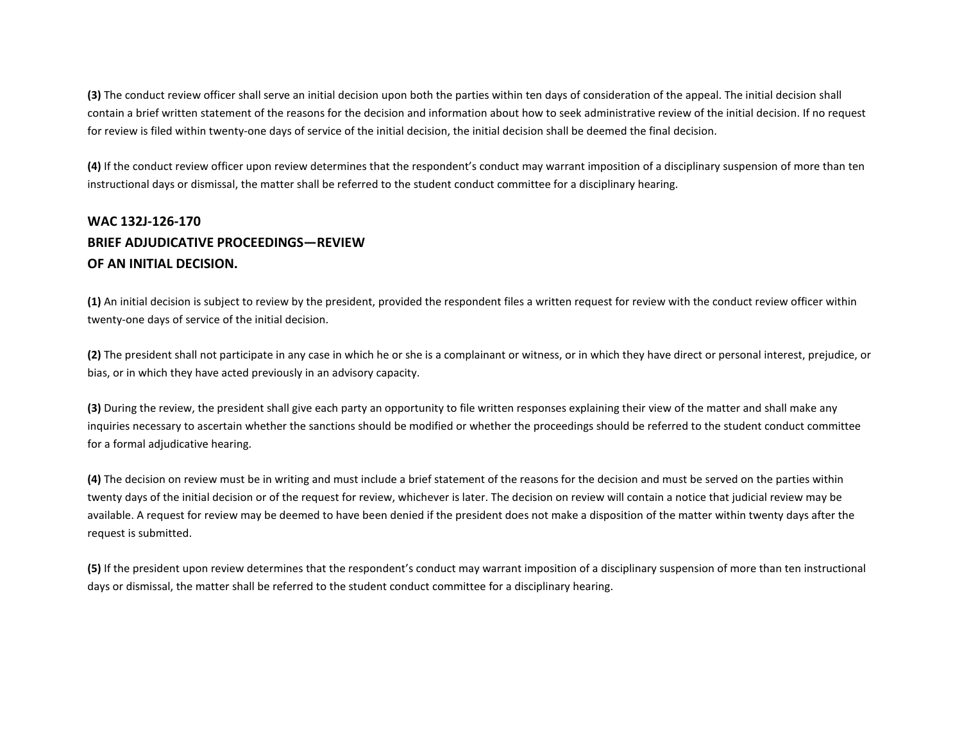**(3)** The conduct review officer shall serve an initial decision upon both the parties within ten days of consideration of the appeal. The initial decision shall contain a brief written statement of the reasons for the decision and information about how to seek administrative review of the initial decision. If no request for review is filed within twenty-one days of service of the initial decision, the initial decision shall be deemed the final decision.

**(4)** If the conduct review officer upon review determines that the respondent's conduct may warrant imposition of a disciplinary suspension of more than ten instructional days or dismissal, the matter shall be referred to the student conduct committee for a disciplinary hearing.

# **WAC 132J-126-170 BRIEF ADJUDICATIVE PROCEEDINGS—REVIEW OF AN INITIAL DECISION.**

**(1)** An initial decision is subject to review by the president, provided the respondent files a written request for review with the conduct review officer within twenty-one days of service of the initial decision.

**(2)** The president shall not participate in any case in which he or she is a complainant or witness, or in which they have direct or personal interest, prejudice, or bias, or in which they have acted previously in an advisory capacity.

**(3)** During the review, the president shall give each party an opportunity to file written responses explaining their view of the matter and shall make any inquiries necessary to ascertain whether the sanctions should be modified or whether the proceedings should be referred to the student conduct committee for a formal adjudicative hearing.

**(4)** The decision on review must be in writing and must include a brief statement of the reasons for the decision and must be served on the parties within twenty days of the initial decision or of the request for review, whichever is later. The decision on review will contain a notice that judicial review may be available. A request for review may be deemed to have been denied if the president does not make a disposition of the matter within twenty days after the request is submitted.

**(5)** If the president upon review determines that the respondent's conduct may warrant imposition of a disciplinary suspension of more than ten instructional days or dismissal, the matter shall be referred to the student conduct committee for a disciplinary hearing.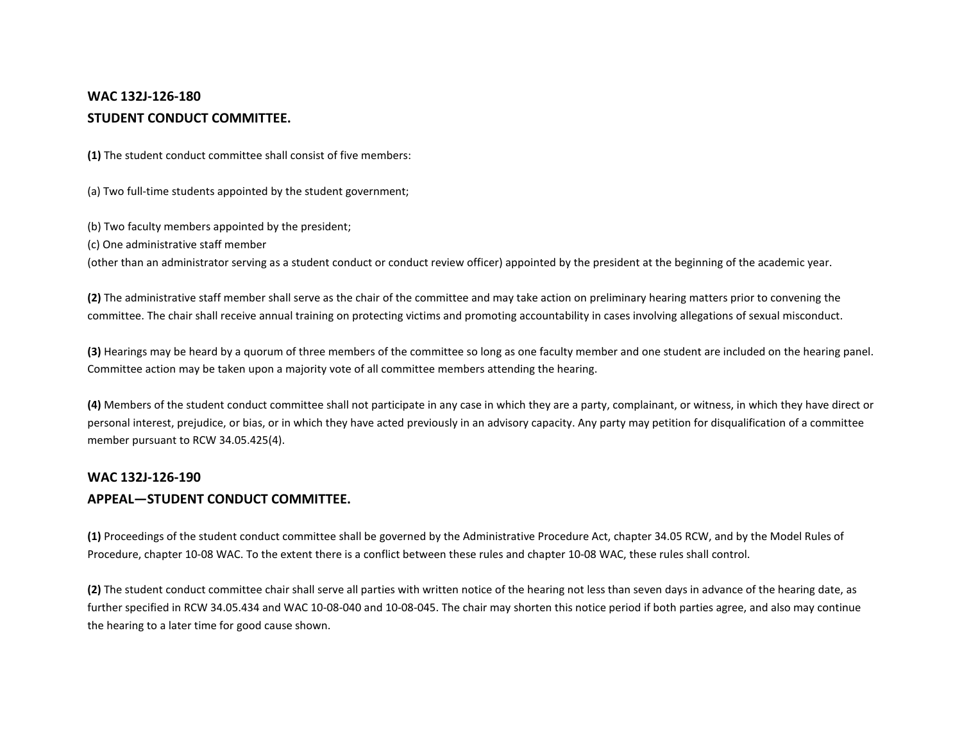## **WAC 132J-126-180 STUDENT CONDUCT COMMITTEE.**

**(1)** The student conduct committee shall consist of five members:

(a) Two full-time students appointed by the student government;

(b) Two faculty members appointed by the president;

(c) One administrative staff member

(other than an administrator serving as a student conduct or conduct review officer) appointed by the president at the beginning of the academic year.

**(2)** The administrative staff member shall serve as the chair of the committee and may take action on preliminary hearing matters prior to convening the committee. The chair shall receive annual training on protecting victims and promoting accountability in cases involving allegations of sexual misconduct.

**(3)** Hearings may be heard by a quorum of three members of the committee so long as one faculty member and one student are included on the hearing panel. Committee action may be taken upon a majority vote of all committee members attending the hearing.

**(4)** Members of the student conduct committee shall not participate in any case in which they are a party, complainant, or witness, in which they have direct or personal interest, prejudice, or bias, or in which they have acted previously in an advisory capacity. Any party may petition for disqualification of a committee member pursuant to RCW 34.05.425(4).

#### **WAC 132J-126-190**

### **APPEAL—STUDENT CONDUCT COMMITTEE.**

**(1)** Proceedings of the student conduct committee shall be governed by the Administrative Procedure Act, chapter 34.05 RCW, and by the Model Rules of Procedure, chapter 10-08 WAC. To the extent there is a conflict between these rules and chapter 10-08 WAC, these rules shall control.

**(2)** The student conduct committee chair shall serve all parties with written notice of the hearing not less than seven days in advance of the hearing date, as further specified in RCW 34.05.434 and WAC 10-08-040 and 10-08-045. The chair may shorten this notice period if both parties agree, and also may continue the hearing to a later time for good cause shown.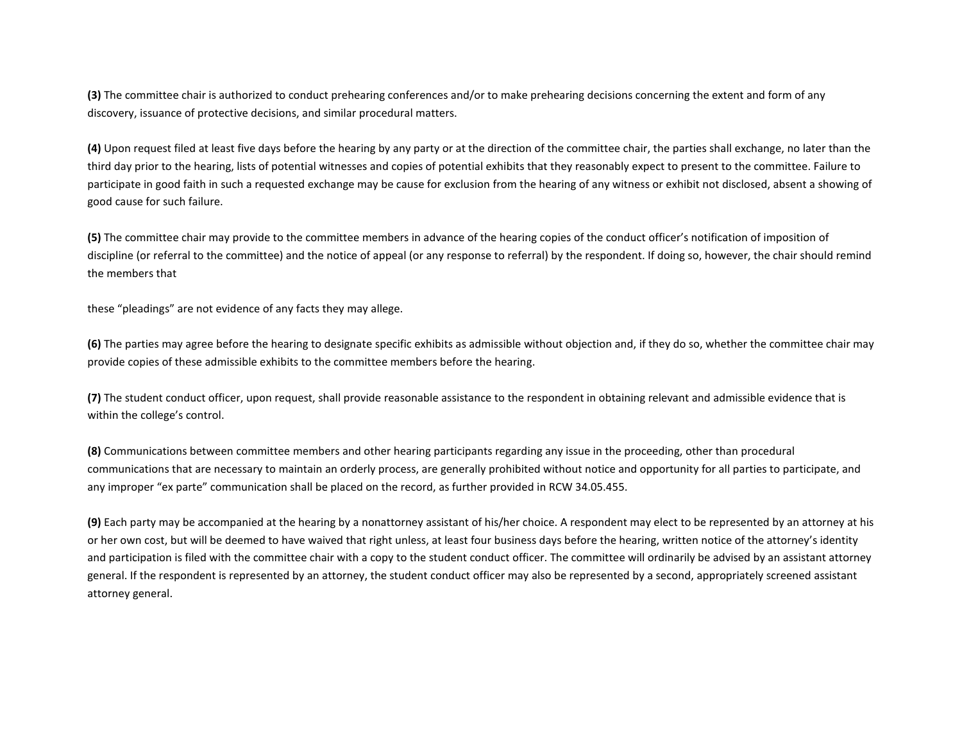**(3)** The committee chair is authorized to conduct prehearing conferences and/or to make prehearing decisions concerning the extent and form of any discovery, issuance of protective decisions, and similar procedural matters.

**(4)** Upon request filed at least five days before the hearing by any party or at the direction of the committee chair, the parties shall exchange, no later than the third day prior to the hearing, lists of potential witnesses and copies of potential exhibits that they reasonably expect to present to the committee. Failure to participate in good faith in such a requested exchange may be cause for exclusion from the hearing of any witness or exhibit not disclosed, absent a showing of good cause for such failure.

**(5)** The committee chair may provide to the committee members in advance of the hearing copies of the conduct officer's notification of imposition of discipline (or referral to the committee) and the notice of appeal (or any response to referral) by the respondent. If doing so, however, the chair should remind the members that

these "pleadings" are not evidence of any facts they may allege.

**(6)** The parties may agree before the hearing to designate specific exhibits as admissible without objection and, if they do so, whether the committee chair may provide copies of these admissible exhibits to the committee members before the hearing.

**(7)** The student conduct officer, upon request, shall provide reasonable assistance to the respondent in obtaining relevant and admissible evidence that is within the college's control.

**(8)** Communications between committee members and other hearing participants regarding any issue in the proceeding, other than procedural communications that are necessary to maintain an orderly process, are generally prohibited without notice and opportunity for all parties to participate, and any improper "ex parte" communication shall be placed on the record, as further provided in RCW 34.05.455.

**(9)** Each party may be accompanied at the hearing by a nonattorney assistant of his/her choice. A respondent may elect to be represented by an attorney at his or her own cost, but will be deemed to have waived that right unless, at least four business days before the hearing, written notice of the attorney's identity and participation is filed with the committee chair with a copy to the student conduct officer. The committee will ordinarily be advised by an assistant attorney general. If the respondent is represented by an attorney, the student conduct officer may also be represented by a second, appropriately screened assistant attorney general.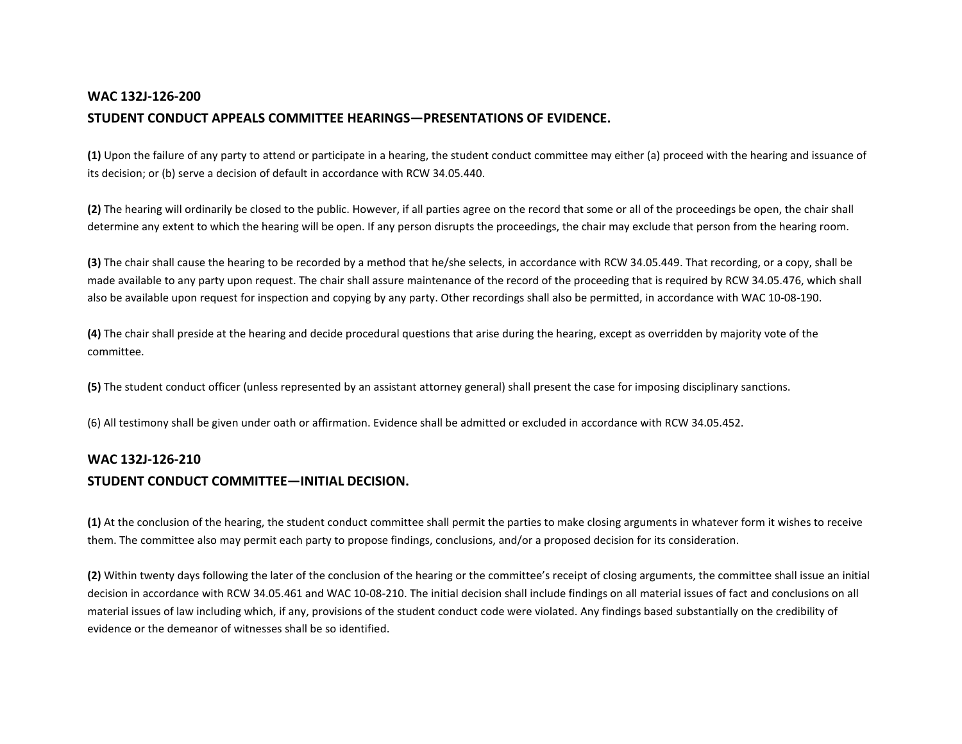### **WAC 132J-126-200**

### **STUDENT CONDUCT APPEALS COMMITTEE HEARINGS—PRESENTATIONS OF EVIDENCE.**

**(1)** Upon the failure of any party to attend or participate in a hearing, the student conduct committee may either (a) proceed with the hearing and issuance of its decision; or (b) serve a decision of default in accordance with RCW 34.05.440.

**(2)** The hearing will ordinarily be closed to the public. However, if all parties agree on the record that some or all of the proceedings be open, the chair shall determine any extent to which the hearing will be open. If any person disrupts the proceedings, the chair may exclude that person from the hearing room.

**(3)** The chair shall cause the hearing to be recorded by a method that he/she selects, in accordance with RCW 34.05.449. That recording, or a copy, shall be made available to any party upon request. The chair shall assure maintenance of the record of the proceeding that is required by RCW 34.05.476, which shall also be available upon request for inspection and copying by any party. Other recordings shall also be permitted, in accordance with WAC 10-08-190.

**(4)** The chair shall preside at the hearing and decide procedural questions that arise during the hearing, except as overridden by majority vote of the committee.

**(5)** The student conduct officer (unless represented by an assistant attorney general) shall present the case for imposing disciplinary sanctions.

(6) All testimony shall be given under oath or affirmation. Evidence shall be admitted or excluded in accordance with RCW 34.05.452.

# **WAC 132J-126-210 STUDENT CONDUCT COMMITTEE—INITIAL DECISION.**

**(1)** At the conclusion of the hearing, the student conduct committee shall permit the parties to make closing arguments in whatever form it wishes to receive them. The committee also may permit each party to propose findings, conclusions, and/or a proposed decision for its consideration.

**(2)** Within twenty days following the later of the conclusion of the hearing or the committee's receipt of closing arguments, the committee shall issue an initial decision in accordance with RCW 34.05.461 and WAC 10-08-210. The initial decision shall include findings on all material issues of fact and conclusions on all material issues of law including which, if any, provisions of the student conduct code were violated. Any findings based substantially on the credibility of evidence or the demeanor of witnesses shall be so identified.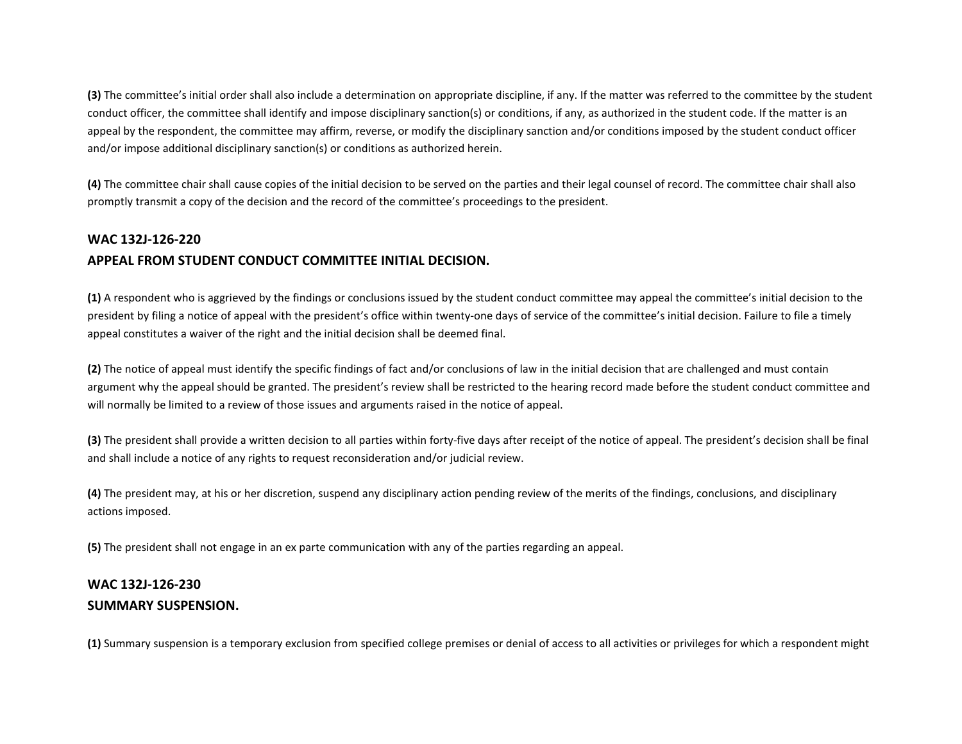**(3)** The committee's initial order shall also include a determination on appropriate discipline, if any. If the matter was referred to the committee by the student conduct officer, the committee shall identify and impose disciplinary sanction(s) or conditions, if any, as authorized in the student code. If the matter is an appeal by the respondent, the committee may affirm, reverse, or modify the disciplinary sanction and/or conditions imposed by the student conduct officer and/or impose additional disciplinary sanction(s) or conditions as authorized herein.

**(4)** The committee chair shall cause copies of the initial decision to be served on the parties and their legal counsel of record. The committee chair shall also promptly transmit a copy of the decision and the record of the committee's proceedings to the president.

### **WAC 132J-126-220**

### **APPEAL FROM STUDENT CONDUCT COMMITTEE INITIAL DECISION.**

**(1)** A respondent who is aggrieved by the findings or conclusions issued by the student conduct committee may appeal the committee's initial decision to the president by filing a notice of appeal with the president's office within twenty-one days of service of the committee's initial decision. Failure to file a timely appeal constitutes a waiver of the right and the initial decision shall be deemed final.

**(2)** The notice of appeal must identify the specific findings of fact and/or conclusions of law in the initial decision that are challenged and must contain argument why the appeal should be granted. The president's review shall be restricted to the hearing record made before the student conduct committee and will normally be limited to a review of those issues and arguments raised in the notice of appeal.

**(3)** The president shall provide a written decision to all parties within forty-five days after receipt of the notice of appeal. The president's decision shall be final and shall include a notice of any rights to request reconsideration and/or judicial review.

**(4)** The president may, at his or her discretion, suspend any disciplinary action pending review of the merits of the findings, conclusions, and disciplinary actions imposed.

**(5)** The president shall not engage in an ex parte communication with any of the parties regarding an appeal.

## **WAC 132J-126-230 SUMMARY SUSPENSION.**

**(1)** Summary suspension is a temporary exclusion from specified college premises or denial of access to all activities or privileges for which a respondent might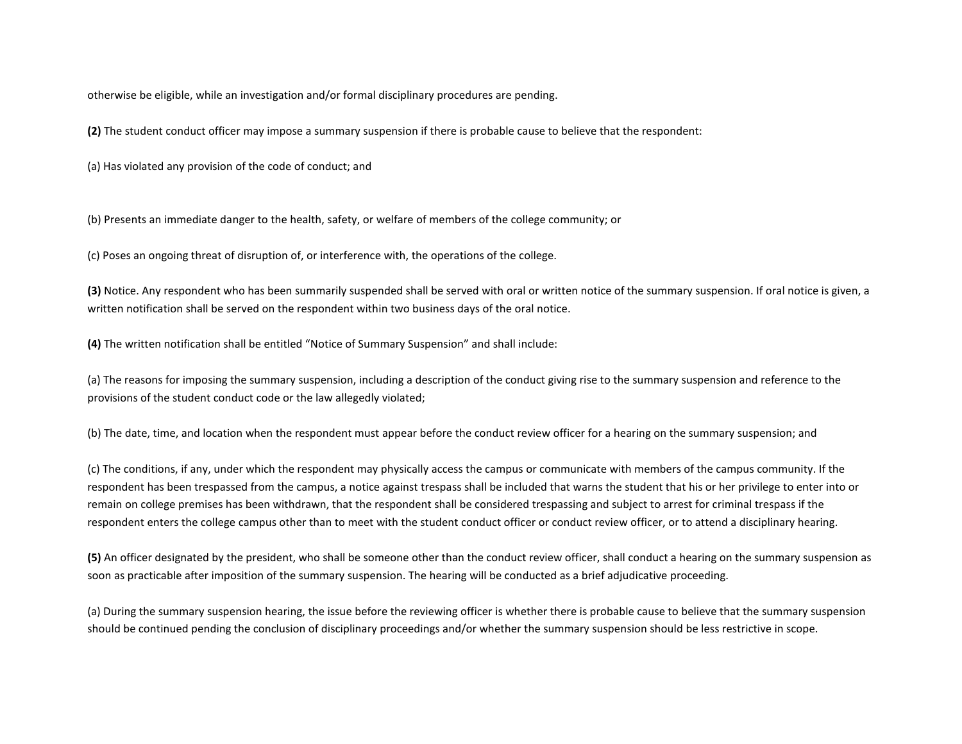otherwise be eligible, while an investigation and/or formal disciplinary procedures are pending.

**(2)** The student conduct officer may impose a summary suspension if there is probable cause to believe that the respondent:

(a) Has violated any provision of the code of conduct; and

(b) Presents an immediate danger to the health, safety, or welfare of members of the college community; or

(c) Poses an ongoing threat of disruption of, or interference with, the operations of the college.

**(3)** Notice. Any respondent who has been summarily suspended shall be served with oral or written notice of the summary suspension. If oral notice is given, a written notification shall be served on the respondent within two business days of the oral notice.

**(4)** The written notification shall be entitled "Notice of Summary Suspension" and shall include:

(a) The reasons for imposing the summary suspension, including a description of the conduct giving rise to the summary suspension and reference to the provisions of the student conduct code or the law allegedly violated;

(b) The date, time, and location when the respondent must appear before the conduct review officer for a hearing on the summary suspension; and

(c) The conditions, if any, under which the respondent may physically access the campus or communicate with members of the campus community. If the respondent has been trespassed from the campus, a notice against trespass shall be included that warns the student that his or her privilege to enter into or remain on college premises has been withdrawn, that the respondent shall be considered trespassing and subject to arrest for criminal trespass if the respondent enters the college campus other than to meet with the student conduct officer or conduct review officer, or to attend a disciplinary hearing.

**(5)** An officer designated by the president, who shall be someone other than the conduct review officer, shall conduct a hearing on the summary suspension as soon as practicable after imposition of the summary suspension. The hearing will be conducted as a brief adjudicative proceeding.

(a) During the summary suspension hearing, the issue before the reviewing officer is whether there is probable cause to believe that the summary suspension should be continued pending the conclusion of disciplinary proceedings and/or whether the summary suspension should be less restrictive in scope.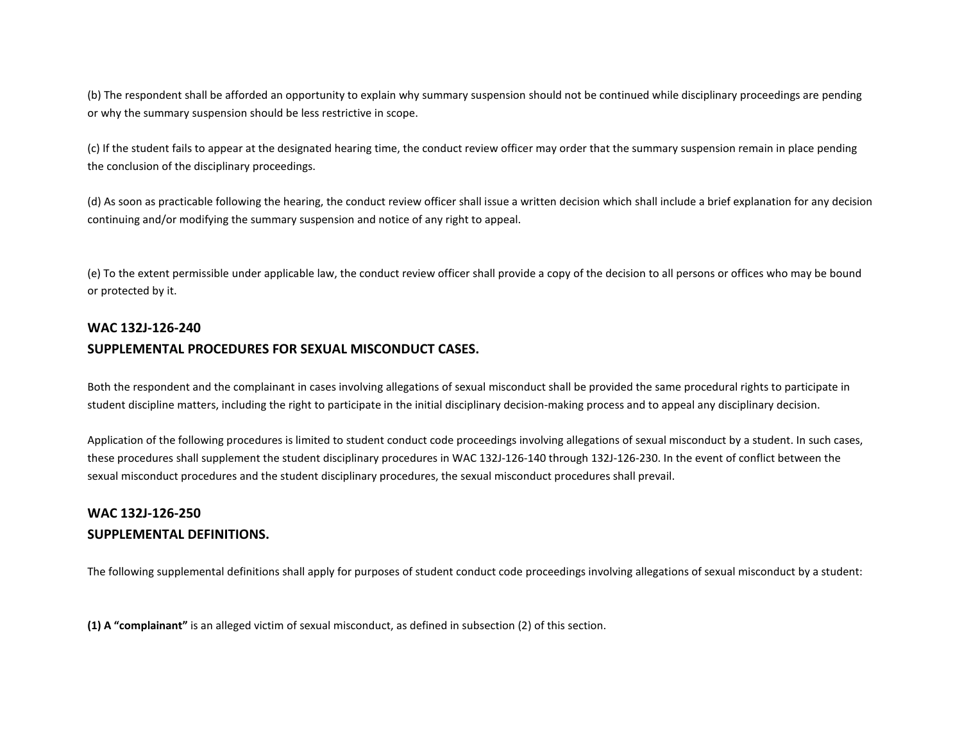(b) The respondent shall be afforded an opportunity to explain why summary suspension should not be continued while disciplinary proceedings are pending or why the summary suspension should be less restrictive in scope.

(c) If the student fails to appear at the designated hearing time, the conduct review officer may order that the summary suspension remain in place pending the conclusion of the disciplinary proceedings.

(d) As soon as practicable following the hearing, the conduct review officer shall issue a written decision which shall include a brief explanation for any decision continuing and/or modifying the summary suspension and notice of any right to appeal.

(e) To the extent permissible under applicable law, the conduct review officer shall provide a copy of the decision to all persons or offices who may be bound or protected by it.

# **WAC 132J-126-240 SUPPLEMENTAL PROCEDURES FOR SEXUAL MISCONDUCT CASES.**

Both the respondent and the complainant in cases involving allegations of sexual misconduct shall be provided the same procedural rights to participate in student discipline matters, including the right to participate in the initial disciplinary decision-making process and to appeal any disciplinary decision.

Application of the following procedures is limited to student conduct code proceedings involving allegations of sexual misconduct by a student. In such cases, these procedures shall supplement the student disciplinary procedures in WAC 132J-126-140 through 132J-126-230. In the event of conflict between the sexual misconduct procedures and the student disciplinary procedures, the sexual misconduct procedures shall prevail.

## **WAC 132J-126-250 SUPPLEMENTAL DEFINITIONS.**

The following supplemental definitions shall apply for purposes of student conduct code proceedings involving allegations of sexual misconduct by a student:

**(1) A "complainant"** is an alleged victim of sexual misconduct, as defined in subsection (2) of this section.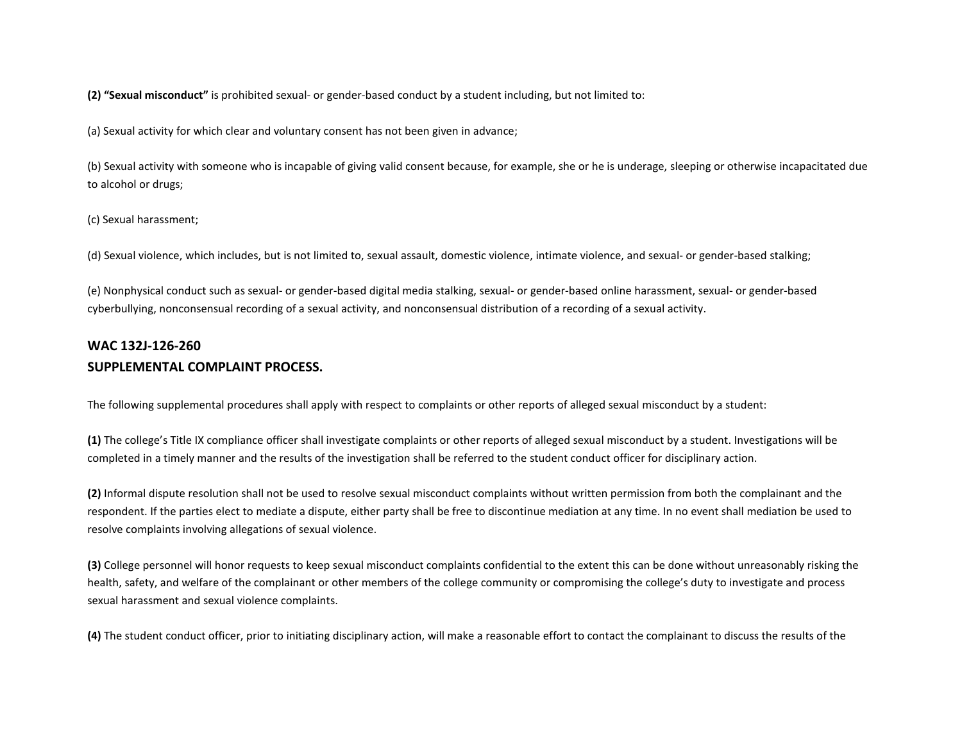**(2) "Sexual misconduct"** is prohibited sexual- or gender-based conduct by a student including, but not limited to:

(a) Sexual activity for which clear and voluntary consent has not been given in advance;

(b) Sexual activity with someone who is incapable of giving valid consent because, for example, she or he is underage, sleeping or otherwise incapacitated due to alcohol or drugs;

(c) Sexual harassment;

(d) Sexual violence, which includes, but is not limited to, sexual assault, domestic violence, intimate violence, and sexual- or gender-based stalking;

(e) Nonphysical conduct such as sexual- or gender-based digital media stalking, sexual- or gender-based online harassment, sexual- or gender-based cyberbullying, nonconsensual recording of a sexual activity, and nonconsensual distribution of a recording of a sexual activity.

## **WAC 132J-126-260 SUPPLEMENTAL COMPLAINT PROCESS.**

The following supplemental procedures shall apply with respect to complaints or other reports of alleged sexual misconduct by a student:

**(1)** The college's Title IX compliance officer shall investigate complaints or other reports of alleged sexual misconduct by a student. Investigations will be completed in a timely manner and the results of the investigation shall be referred to the student conduct officer for disciplinary action.

**(2)** Informal dispute resolution shall not be used to resolve sexual misconduct complaints without written permission from both the complainant and the respondent. If the parties elect to mediate a dispute, either party shall be free to discontinue mediation at any time. In no event shall mediation be used to resolve complaints involving allegations of sexual violence.

**(3)** College personnel will honor requests to keep sexual misconduct complaints confidential to the extent this can be done without unreasonably risking the health, safety, and welfare of the complainant or other members of the college community or compromising the college's duty to investigate and process sexual harassment and sexual violence complaints.

**(4)** The student conduct officer, prior to initiating disciplinary action, will make a reasonable effort to contact the complainant to discuss the results of the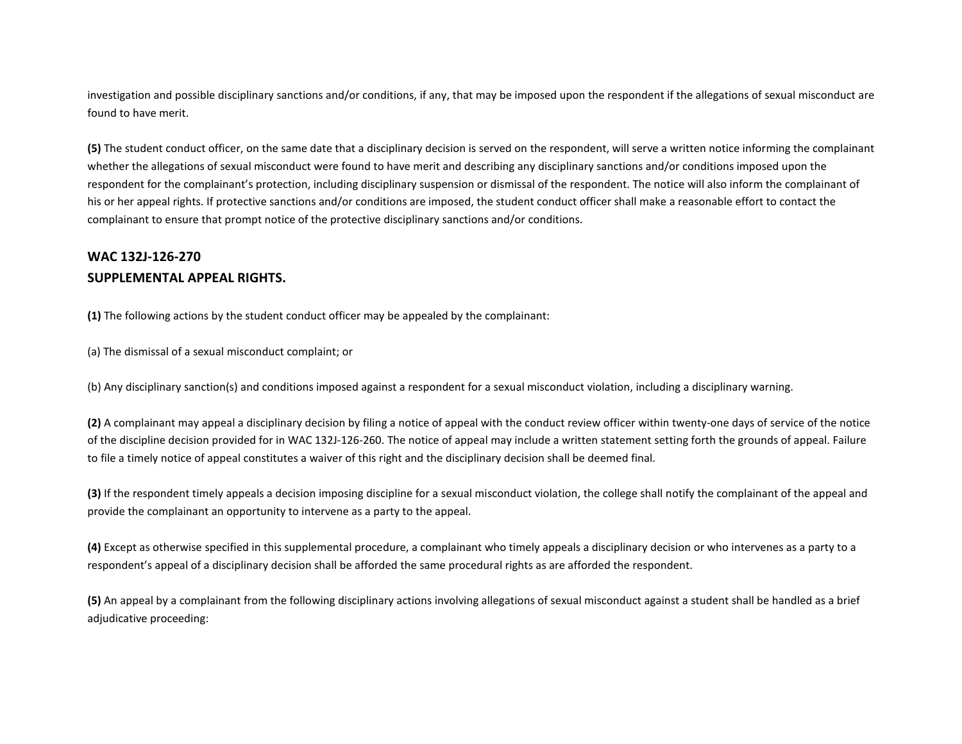investigation and possible disciplinary sanctions and/or conditions, if any, that may be imposed upon the respondent if the allegations of sexual misconduct are found to have merit.

**(5)** The student conduct officer, on the same date that a disciplinary decision is served on the respondent, will serve a written notice informing the complainant whether the allegations of sexual misconduct were found to have merit and describing any disciplinary sanctions and/or conditions imposed upon the respondent for the complainant's protection, including disciplinary suspension or dismissal of the respondent. The notice will also inform the complainant of his or her appeal rights. If protective sanctions and/or conditions are imposed, the student conduct officer shall make a reasonable effort to contact the complainant to ensure that prompt notice of the protective disciplinary sanctions and/or conditions.

## **WAC 132J-126-270 SUPPLEMENTAL APPEAL RIGHTS.**

**(1)** The following actions by the student conduct officer may be appealed by the complainant:

(a) The dismissal of a sexual misconduct complaint; or

(b) Any disciplinary sanction(s) and conditions imposed against a respondent for a sexual misconduct violation, including a disciplinary warning.

**(2)** A complainant may appeal a disciplinary decision by filing a notice of appeal with the conduct review officer within twenty-one days of service of the notice of the discipline decision provided for in WAC 132J-126-260. The notice of appeal may include a written statement setting forth the grounds of appeal. Failure to file a timely notice of appeal constitutes a waiver of this right and the disciplinary decision shall be deemed final.

**(3)** If the respondent timely appeals a decision imposing discipline for a sexual misconduct violation, the college shall notify the complainant of the appeal and provide the complainant an opportunity to intervene as a party to the appeal.

**(4)** Except as otherwise specified in this supplemental procedure, a complainant who timely appeals a disciplinary decision or who intervenes as a party to a respondent's appeal of a disciplinary decision shall be afforded the same procedural rights as are afforded the respondent.

**(5)** An appeal by a complainant from the following disciplinary actions involving allegations of sexual misconduct against a student shall be handled as a brief adjudicative proceeding: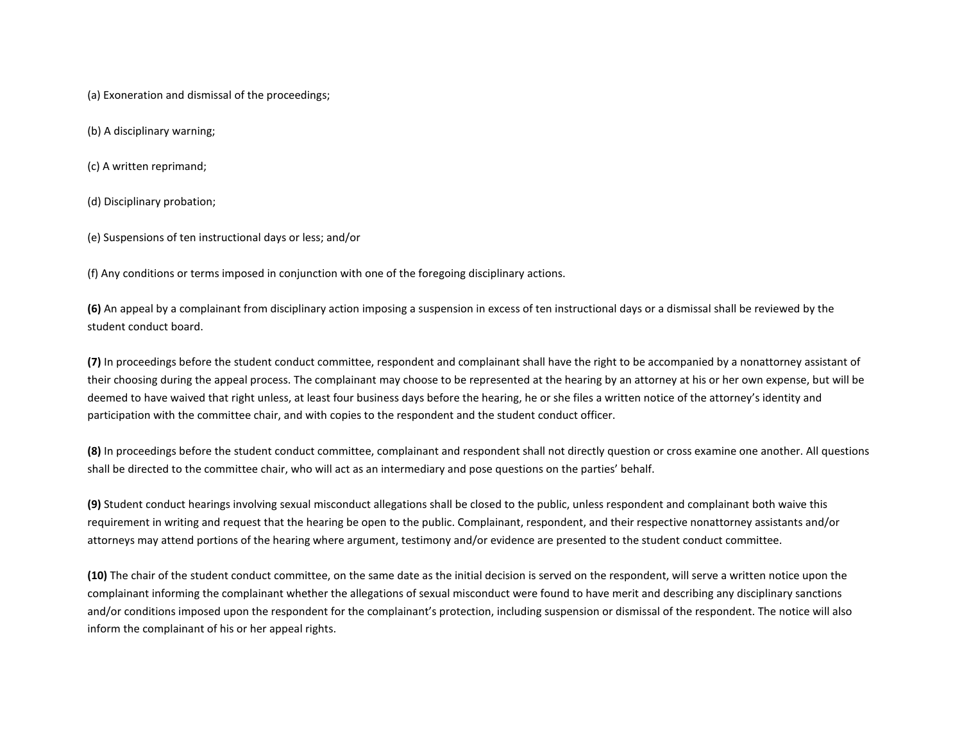(a) Exoneration and dismissal of the proceedings;

(b) A disciplinary warning;

(c) A written reprimand;

(d) Disciplinary probation;

(e) Suspensions of ten instructional days or less; and/or

(f) Any conditions or terms imposed in conjunction with one of the foregoing disciplinary actions.

**(6)** An appeal by a complainant from disciplinary action imposing a suspension in excess of ten instructional days or a dismissal shall be reviewed by the student conduct board.

**(7)** In proceedings before the student conduct committee, respondent and complainant shall have the right to be accompanied by a nonattorney assistant of their choosing during the appeal process. The complainant may choose to be represented at the hearing by an attorney at his or her own expense, but will be deemed to have waived that right unless, at least four business days before the hearing, he or she files a written notice of the attorney's identity and participation with the committee chair, and with copies to the respondent and the student conduct officer.

**(8)** In proceedings before the student conduct committee, complainant and respondent shall not directly question or cross examine one another. All questions shall be directed to the committee chair, who will act as an intermediary and pose questions on the parties' behalf.

**(9)** Student conduct hearings involving sexual misconduct allegations shall be closed to the public, unless respondent and complainant both waive this requirement in writing and request that the hearing be open to the public. Complainant, respondent, and their respective nonattorney assistants and/or attorneys may attend portions of the hearing where argument, testimony and/or evidence are presented to the student conduct committee.

**(10)** The chair of the student conduct committee, on the same date as the initial decision is served on the respondent, will serve a written notice upon the complainant informing the complainant whether the allegations of sexual misconduct were found to have merit and describing any disciplinary sanctions and/or conditions imposed upon the respondent for the complainant's protection, including suspension or dismissal of the respondent. The notice will also inform the complainant of his or her appeal rights.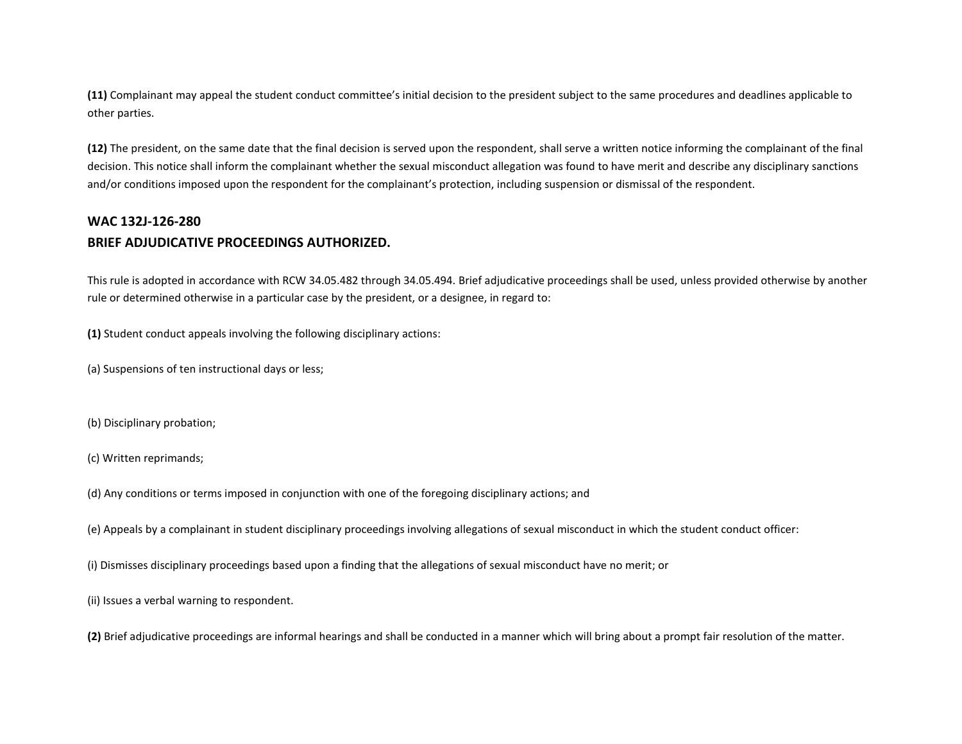**(11)** Complainant may appeal the student conduct committee's initial decision to the president subject to the same procedures and deadlines applicable to other parties.

**(12)** The president, on the same date that the final decision is served upon the respondent, shall serve a written notice informing the complainant of the final decision. This notice shall inform the complainant whether the sexual misconduct allegation was found to have merit and describe any disciplinary sanctions and/or conditions imposed upon the respondent for the complainant's protection, including suspension or dismissal of the respondent.

### **WAC 132J-126-280**

### **BRIEF ADJUDICATIVE PROCEEDINGS AUTHORIZED.**

This rule is adopted in accordance with RCW 34.05.482 through 34.05.494. Brief adjudicative proceedings shall be used, unless provided otherwise by another rule or determined otherwise in a particular case by the president, or a designee, in regard to:

**(1)** Student conduct appeals involving the following disciplinary actions:

(a) Suspensions of ten instructional days or less;

(b) Disciplinary probation;

(c) Written reprimands;

(d) Any conditions or terms imposed in conjunction with one of the foregoing disciplinary actions; and

(e) Appeals by a complainant in student disciplinary proceedings involving allegations of sexual misconduct in which the student conduct officer:

(i) Dismisses disciplinary proceedings based upon a finding that the allegations of sexual misconduct have no merit; or

(ii) Issues a verbal warning to respondent.

**(2)** Brief adjudicative proceedings are informal hearings and shall be conducted in a manner which will bring about a prompt fair resolution of the matter.